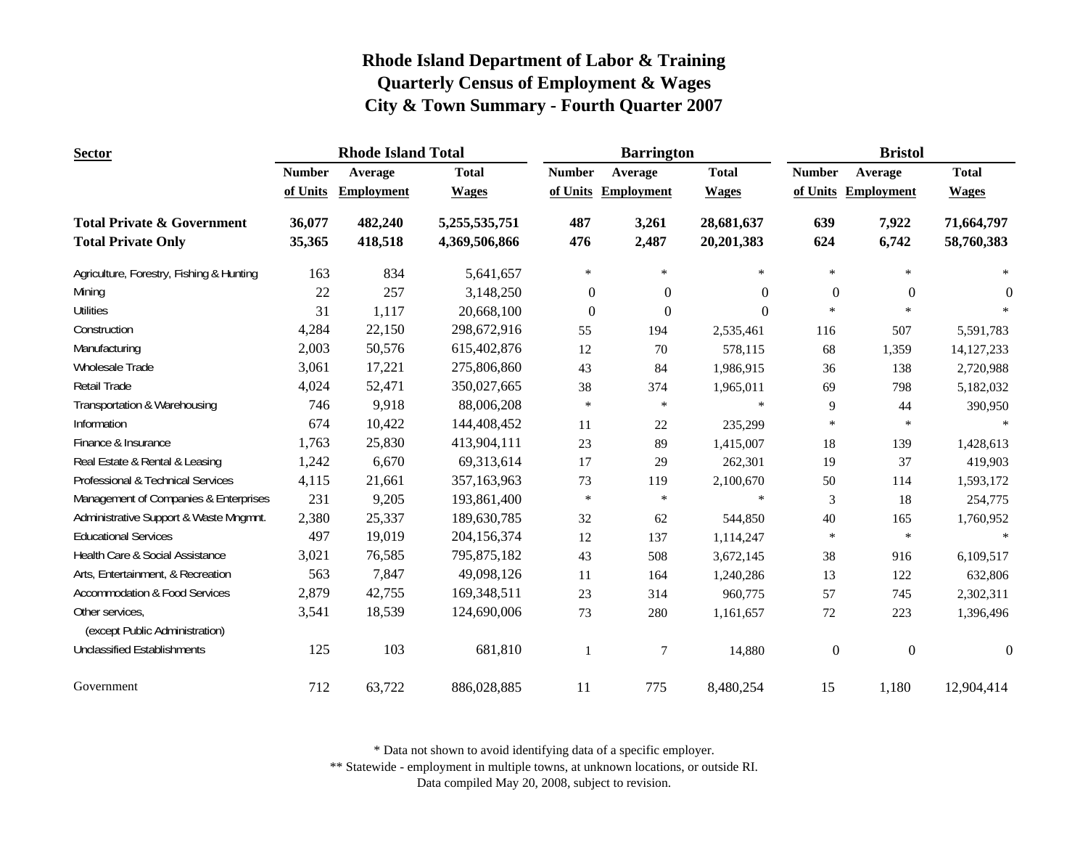| <b>Sector</b>                                     |               | <b>Rhode Island Total</b> |               |               | <b>Barrington</b>   |              | <b>Bristol</b>   |                     |              |
|---------------------------------------------------|---------------|---------------------------|---------------|---------------|---------------------|--------------|------------------|---------------------|--------------|
|                                                   | <b>Number</b> | Average                   | <b>Total</b>  | <b>Number</b> | Average             | <b>Total</b> | <b>Number</b>    | Average             | <b>Total</b> |
|                                                   | of Units      | <b>Employment</b>         | <b>Wages</b>  |               | of Units Employment | <b>Wages</b> |                  | of Units Employment | <b>Wages</b> |
| <b>Total Private &amp; Government</b>             | 36,077        | 482,240                   | 5,255,535,751 | 487           | 3,261               | 28,681,637   | 639              | 7,922               | 71,664,797   |
| <b>Total Private Only</b>                         | 35,365        | 418,518                   | 4,369,506,866 | 476           | 2,487               | 20,201,383   | 624              | 6,742               | 58,760,383   |
| Agriculture, Forestry, Fishing & Hunting          | 163           | 834                       | 5,641,657     | $\ast$        | $\ast$              | $\ast$       | $\ast$           | $\ast$              | $\ast$       |
| Mining                                            | $22\,$        | 257                       | 3,148,250     | $\theta$      | $\overline{0}$      | $\Omega$     | $\mathbf{0}$     | $\overline{0}$      | $\Omega$     |
| <b>Utilities</b>                                  | 31            | 1,117                     | 20,668,100    | $\mathbf{0}$  | $\Omega$            | $\Omega$     | $\ast$           | $\ast$              |              |
| Construction                                      | 4,284         | 22,150                    | 298,672,916   | 55            | 194                 | 2,535,461    | 116              | 507                 | 5,591,783    |
| Manufacturing                                     | 2,003         | 50,576                    | 615,402,876   | 12            | 70                  | 578,115      | 68               | 1,359               | 14, 127, 233 |
| Wholesale Trade                                   | 3,061         | 17,221                    | 275,806,860   | 43            | 84                  | 1,986,915    | 36               | 138                 | 2,720,988    |
| <b>Retail Trade</b>                               | 4,024         | 52,471                    | 350,027,665   | 38            | 374                 | 1,965,011    | 69               | 798                 | 5,182,032    |
| Transportation & Warehousing                      | 746           | 9,918                     | 88,006,208    | $\ast$        | $\ast$              | $\ast$       | 9                | 44                  | 390,950      |
| Information                                       | 674           | 10,422                    | 144,408,452   | 11            | 22                  | 235,299      | $\ast$           | $\ast$              |              |
| Finance & Insurance                               | 1,763         | 25,830                    | 413,904,111   | 23            | 89                  | 1,415,007    | 18               | 139                 | 1,428,613    |
| Real Estate & Rental & Leasing                    | 1,242         | 6,670                     | 69,313,614    | 17            | 29                  | 262,301      | 19               | 37                  | 419,903      |
| Professional & Technical Services                 | 4,115         | 21,661                    | 357,163,963   | 73            | 119                 | 2,100,670    | 50               | 114                 | 1,593,172    |
| Management of Companies & Enterprises             | 231           | 9,205                     | 193,861,400   | $\ast$        | $\ast$              | $\ast$       | 3                | 18                  | 254,775      |
| Administrative Support & Waste Mngmnt.            | 2,380         | 25,337                    | 189,630,785   | 32            | 62                  | 544,850      | 40               | 165                 | 1,760,952    |
| <b>Educational Services</b>                       | 497           | 19,019                    | 204,156,374   | 12            | 137                 | 1,114,247    | $\ast$           | $\ast$              |              |
| Health Care & Social Assistance                   | 3,021         | 76,585                    | 795,875,182   | 43            | 508                 | 3,672,145    | 38               | 916                 | 6,109,517    |
| Arts, Entertainment, & Recreation                 | 563           | 7,847                     | 49,098,126    | 11            | 164                 | 1,240,286    | 13               | 122                 | 632,806      |
| <b>Accommodation &amp; Food Services</b>          | 2,879         | 42,755                    | 169,348,511   | 23            | 314                 | 960,775      | 57               | 745                 | 2,302,311    |
| Other services,<br>(except Public Administration) | 3,541         | 18,539                    | 124,690,006   | 73            | 280                 | 1,161,657    | $72\,$           | 223                 | 1,396,496    |
| <b>Unclassified Establishments</b>                | 125           | 103                       | 681,810       | -1            | $\overline{7}$      | 14,880       | $\boldsymbol{0}$ | $\overline{0}$      | $\Omega$     |
| Government                                        | 712           | 63,722                    | 886,028,885   | 11            | 775                 | 8,480,254    | 15               | 1,180               | 12,904,414   |

\* Data not shown to avoid identifying data of a specific employer.

\*\* Statewide - employment in multiple towns, at unknown locations, or outside RI.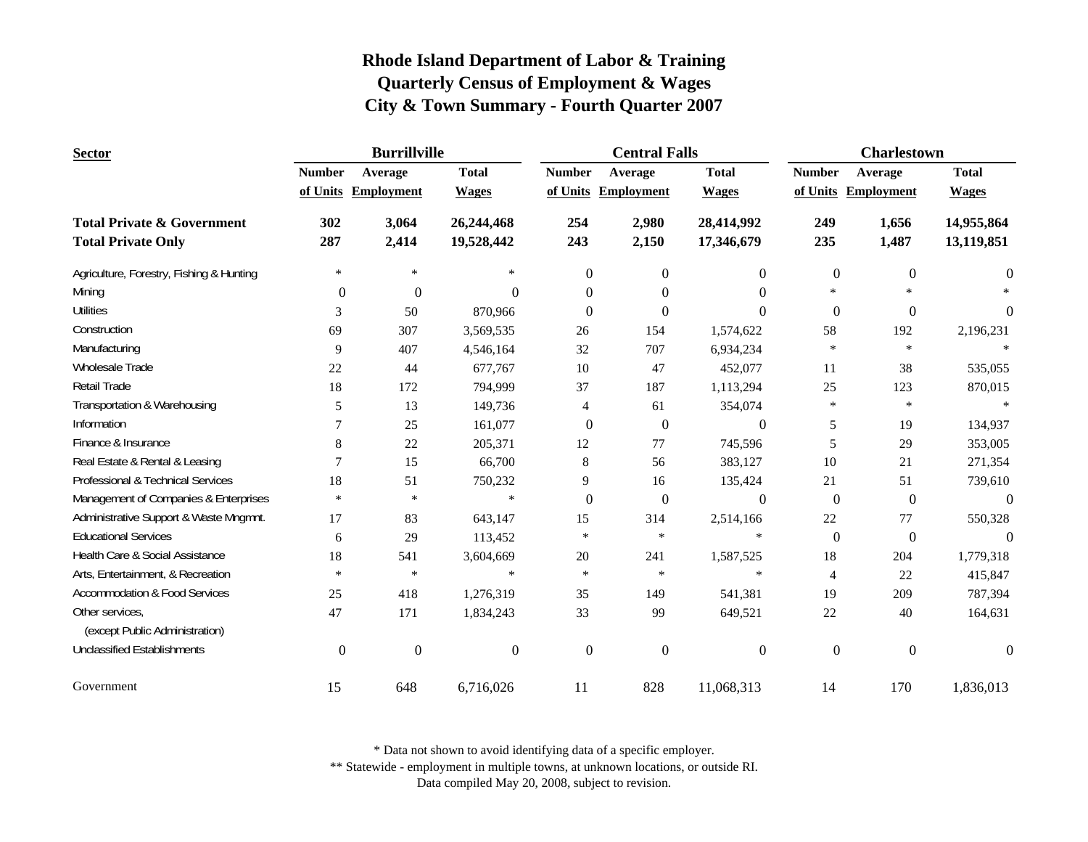| <b>Sector</b>                                                      |                  | <b>Burrillville</b> |                          |                | <b>Central Falls</b> |                          | <b>Charlestown</b>         |                     |                          |
|--------------------------------------------------------------------|------------------|---------------------|--------------------------|----------------|----------------------|--------------------------|----------------------------|---------------------|--------------------------|
|                                                                    | <b>Number</b>    | Average             | <b>Total</b>             | <b>Number</b>  | Average              | <b>Total</b>             | <b>Number</b>              | Average             | <b>Total</b>             |
|                                                                    |                  | of Units Employment | <b>Wages</b>             |                | of Units Employment  | <b>Wages</b>             |                            | of Units Employment | <b>Wages</b>             |
| <b>Total Private &amp; Government</b><br><b>Total Private Only</b> | 302<br>287       | 3,064<br>2,414      | 26,244,468<br>19,528,442 | 254<br>243     | 2,980<br>2,150       | 28,414,992<br>17,346,679 | 249<br>235                 | 1,656<br>1,487      | 14,955,864<br>13,119,851 |
|                                                                    | $\ast$           | $\ast$              | $\ast$                   |                |                      |                          |                            |                     |                          |
| Agriculture, Forestry, Fishing & Hunting                           |                  |                     |                          | $\theta$       | $\theta$             | $\overline{0}$           | $\boldsymbol{0}$<br>$\ast$ | $\mathbf{0}$        | $\theta$                 |
| Mining                                                             | $\Omega$         | $\boldsymbol{0}$    | 0                        | $\Omega$       | $\Omega$             | $\Omega$                 |                            |                     |                          |
| <b>Utilities</b>                                                   | 3                | 50                  | 870,966                  | $\Omega$       | $\Omega$             | $\Omega$                 | $\mathbf{0}$               | $\Omega$            | $\Omega$                 |
| Construction                                                       | 69               | 307                 | 3,569,535                | 26             | 154                  | 1,574,622                | 58                         | 192                 | 2,196,231                |
| Manufacturing                                                      | 9                | 407                 | 4,546,164                | 32             | 707                  | 6,934,234                | $\ast$                     | $\ast$              |                          |
| Wholesale Trade                                                    | 22               | 44                  | 677,767                  | 10             | 47                   | 452,077                  | 11                         | 38                  | 535,055                  |
| Retail Trade                                                       | 18               | 172                 | 794,999                  | 37             | 187                  | 1,113,294                | 25                         | 123                 | 870,015                  |
| Transportation & Warehousing                                       | 5                | 13                  | 149,736                  | 4              | 61                   | 354,074                  | *                          | $\ast$              |                          |
| Information                                                        | $\tau$           | 25                  | 161,077                  | $\mathbf{0}$   | $\boldsymbol{0}$     | $\theta$                 | 5                          | 19                  | 134,937                  |
| Finance & Insurance                                                | 8                | 22                  | 205,371                  | 12             | 77                   | 745,596                  | 5                          | 29                  | 353,005                  |
| Real Estate & Rental & Leasing                                     | $\overline{7}$   | 15                  | 66,700                   | 8              | 56                   | 383,127                  | $10\,$                     | 21                  | 271,354                  |
| Professional & Technical Services                                  | 18               | 51                  | 750,232                  | 9              | 16                   | 135,424                  | 21                         | 51                  | 739,610                  |
| Management of Companies & Enterprises                              | $\ast$           | $\ast$              | $\ast$                   | $\mathbf{0}$   | $\boldsymbol{0}$     | $\boldsymbol{0}$         | $\boldsymbol{0}$           | $\boldsymbol{0}$    | $\overline{0}$           |
| Administrative Support & Waste Mngmnt.                             | 17               | 83                  | 643,147                  | 15             | 314                  | 2,514,166                | 22                         | 77                  | 550,328                  |
| <b>Educational Services</b>                                        | 6                | 29                  | 113,452                  | $\ast$         | $\ast$               | $\ast$                   | $\mathbf{0}$               | $\mathbf{0}$        | $\Omega$                 |
| Health Care & Social Assistance                                    | 18               | 541                 | 3,604,669                | $20\,$         | 241                  | 1,587,525                | 18                         | 204                 | 1,779,318                |
| Arts, Entertainment, & Recreation                                  | $\ast$           | $\ast$              | $\ast$                   | $\ast$         | $\ast$               | $\ast$                   | 4                          | 22                  | 415,847                  |
| <b>Accommodation &amp; Food Services</b>                           | 25               | 418                 | 1,276,319                | 35             | 149                  | 541,381                  | 19                         | 209                 | 787,394                  |
| Other services,<br>(except Public Administration)                  | 47               | 171                 | 1,834,243                | 33             | 99                   | 649,521                  | 22                         | 40                  | 164,631                  |
| <b>Unclassified Establishments</b>                                 | $\boldsymbol{0}$ | $\boldsymbol{0}$    | $\overline{0}$           | $\overline{0}$ | $\mathbf{0}$         | $\mathbf{0}$             | $\boldsymbol{0}$           | $\mathbf{0}$        | $\Omega$                 |
| Government                                                         | 15               | 648                 | 6,716,026                | 11             | 828                  | 11,068,313               | 14                         | 170                 | 1,836,013                |

\* Data not shown to avoid identifying data of a specific employer.

\*\* Statewide - employment in multiple towns, at unknown locations, or outside RI.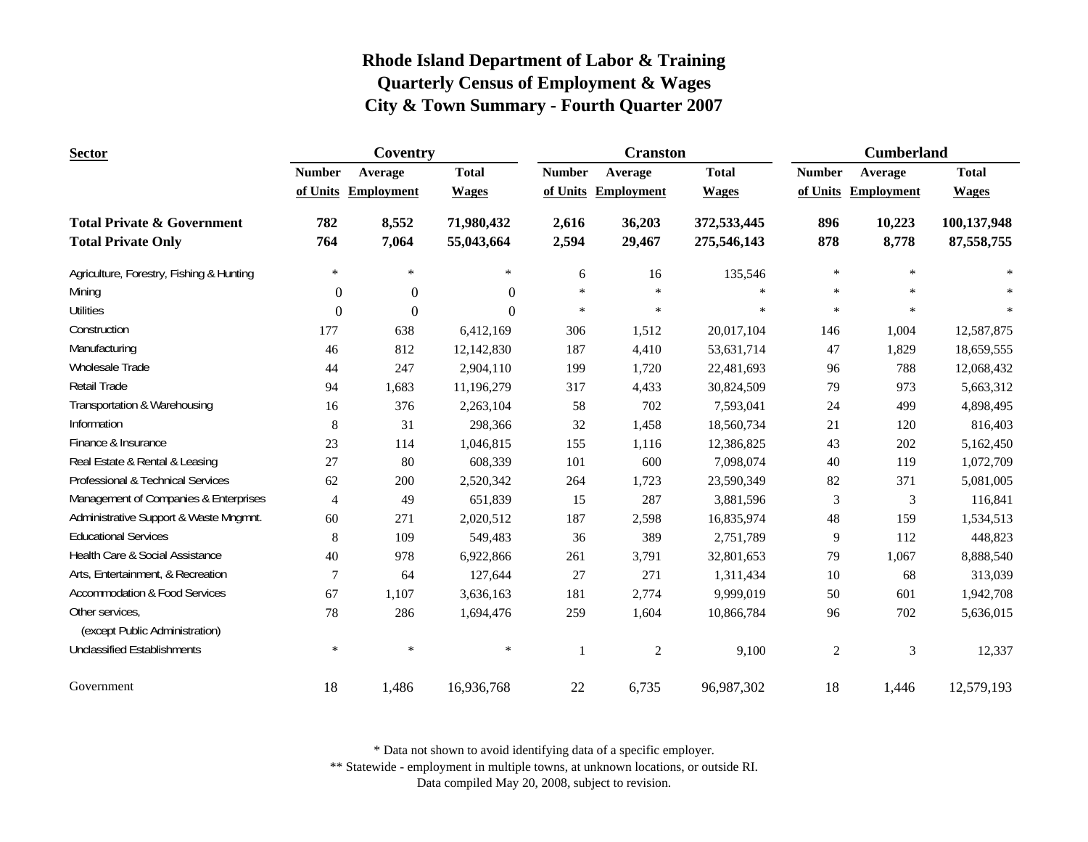| <b>Sector</b>                                     |                | Coventry            |              |               | <b>Cranston</b>   |              | <b>Cumberland</b> |                   |              |
|---------------------------------------------------|----------------|---------------------|--------------|---------------|-------------------|--------------|-------------------|-------------------|--------------|
|                                                   | <b>Number</b>  | Average             | <b>Total</b> | <b>Number</b> | Average           | <b>Total</b> | <b>Number</b>     | Average           | <b>Total</b> |
|                                                   |                | of Units Employment | <b>Wages</b> | of Units      | <b>Employment</b> | <b>Wages</b> | of Units          | <b>Employment</b> | <b>Wages</b> |
| <b>Total Private &amp; Government</b>             | 782            | 8,552               | 71,980,432   | 2,616         | 36,203            | 372,533,445  | 896               | 10,223            | 100,137,948  |
| <b>Total Private Only</b>                         | 764            | 7,064               | 55,043,664   | 2,594         | 29,467            | 275,546,143  | 878               | 8,778             | 87, 558, 755 |
| Agriculture, Forestry, Fishing & Hunting          | $\ast$         | $\ast$              | $\ast$       | 6             | 16                | 135,546      | $\ast$            | $\ast$            | $\star$      |
| Mining                                            | $\overline{0}$ | $\boldsymbol{0}$    | $\Omega$     | $\ast$        | $\ast$            | $\ast$       | $\ast$            | $\ast$            |              |
| <b>Utilities</b>                                  | $\Omega$       | $\mathbf{0}$        | $\Omega$     | $\ast$        | $\ast$            | $\ast$       | $\ast$            | $\ast$            |              |
| Construction                                      | 177            | 638                 | 6,412,169    | 306           | 1,512             | 20,017,104   | 146               | 1,004             | 12,587,875   |
| Manufacturing                                     | 46             | 812                 | 12,142,830   | 187           | 4,410             | 53,631,714   | 47                | 1,829             | 18,659,555   |
| Wholesale Trade                                   | 44             | 247                 | 2,904,110    | 199           | 1,720             | 22,481,693   | 96                | 788               | 12,068,432   |
| Retail Trade                                      | 94             | 1,683               | 11,196,279   | 317           | 4,433             | 30,824,509   | 79                | 973               | 5,663,312    |
| Transportation & Warehousing                      | 16             | 376                 | 2,263,104    | 58            | 702               | 7,593,041    | 24                | 499               | 4,898,495    |
| Information                                       | 8              | 31                  | 298,366      | $32\,$        | 1,458             | 18,560,734   | 21                | 120               | 816,403      |
| Finance & Insurance                               | 23             | 114                 | 1,046,815    | 155           | 1,116             | 12,386,825   | 43                | 202               | 5,162,450    |
| Real Estate & Rental & Leasing                    | 27             | 80                  | 608,339      | 101           | 600               | 7,098,074    | $40\,$            | 119               | 1,072,709    |
| Professional & Technical Services                 | 62             | 200                 | 2,520,342    | 264           | 1,723             | 23,590,349   | 82                | 371               | 5,081,005    |
| Management of Companies & Enterprises             | 4              | 49                  | 651,839      | 15            | 287               | 3,881,596    | 3                 | $\mathfrak{Z}$    | 116,841      |
| Administrative Support & Waste Mngmnt.            | 60             | 271                 | 2,020,512    | 187           | 2,598             | 16,835,974   | 48                | 159               | 1,534,513    |
| <b>Educational Services</b>                       | 8              | 109                 | 549,483      | 36            | 389               | 2,751,789    | 9                 | 112               | 448,823      |
| Health Care & Social Assistance                   | 40             | 978                 | 6,922,866    | 261           | 3,791             | 32,801,653   | 79                | 1,067             | 8,888,540    |
| Arts, Entertainment, & Recreation                 | 7              | 64                  | 127,644      | 27            | 271               | 1,311,434    | 10                | 68                | 313,039      |
| <b>Accommodation &amp; Food Services</b>          | 67             | 1,107               | 3,636,163    | 181           | 2,774             | 9,999,019    | 50                | 601               | 1,942,708    |
| Other services,<br>(except Public Administration) | 78             | 286                 | 1,694,476    | 259           | 1,604             | 10,866,784   | 96                | 702               | 5,636,015    |
| <b>Unclassified Establishments</b>                | *              | $\ast$              | $\ast$       |               | $\boldsymbol{2}$  | 9,100        | $\mathbf{2}$      | $\mathfrak{Z}$    | 12,337       |
| Government                                        | 18             | 1,486               | 16,936,768   | $22\,$        | 6,735             | 96,987,302   | 18                | 1,446             | 12,579,193   |

\* Data not shown to avoid identifying data of a specific employer.

\*\* Statewide - employment in multiple towns, at unknown locations, or outside RI.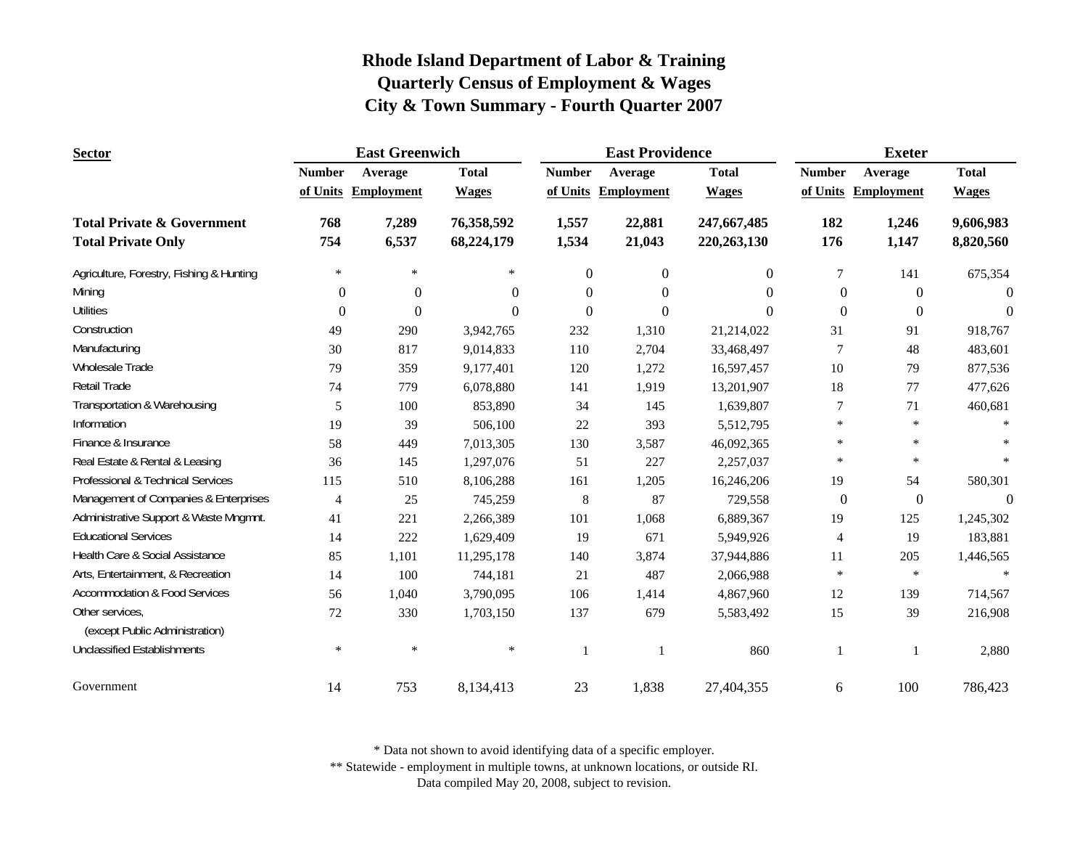| <b>Sector</b>                            |                | <b>East Greenwich</b> |              |               | <b>East Providence</b> |               | <b>Exeter</b>    |                     |                  |
|------------------------------------------|----------------|-----------------------|--------------|---------------|------------------------|---------------|------------------|---------------------|------------------|
|                                          | <b>Number</b>  | Average               | <b>Total</b> | <b>Number</b> | Average                | <b>Total</b>  | <b>Number</b>    | Average             | <b>Total</b>     |
|                                          |                | of Units Employment   | <b>Wages</b> |               | of Units Employment    | <b>Wages</b>  |                  | of Units Employment | <b>Wages</b>     |
| <b>Total Private &amp; Government</b>    | 768            | 7,289                 | 76,358,592   | 1,557         | 22,881                 | 247,667,485   | 182              | 1,246               | 9,606,983        |
| <b>Total Private Only</b>                | 754            | 6,537                 | 68,224,179   | 1,534         | 21,043                 | 220, 263, 130 | 176              | 1,147               | 8,820,560        |
| Agriculture, Forestry, Fishing & Hunting | $\ast$         | $\ast$                | $\ast$       | $\Omega$      | $\overline{0}$         | $\theta$      | 7                | 141                 | 675,354          |
| Mining                                   | $\Omega$       | $\Omega$              | $\Omega$     | $\Omega$      | $\Omega$               | $\Omega$      | $\Omega$         | $\Omega$            | $\Omega$         |
| <b>Utilities</b>                         | $\mathbf{0}$   | $\mathbf{0}$          | $\theta$     | $\Omega$      | $\Omega$               | $\Omega$      | $\theta$         | $\overline{0}$      | $\theta$         |
| Construction                             | 49             | 290                   | 3,942,765    | 232           | 1,310                  | 21,214,022    | 31               | 91                  | 918,767          |
| Manufacturing                            | 30             | 817                   | 9,014,833    | 110           | 2,704                  | 33,468,497    | 7                | 48                  | 483,601          |
| <b>Wholesale Trade</b>                   | 79             | 359                   | 9,177,401    | 120           | 1,272                  | 16,597,457    | 10               | 79                  | 877,536          |
| Retail Trade                             | 74             | 779                   | 6,078,880    | 141           | 1,919                  | 13,201,907    | 18               | 77                  | 477,626          |
| Transportation & Warehousing             | 5              | 100                   | 853,890      | 34            | 145                    | 1,639,807     | 7                | 71                  | 460,681          |
| Information                              | 19             | 39                    | 506,100      | 22            | 393                    | 5,512,795     | $\ast$           | $\ast$              |                  |
| Finance & Insurance                      | 58             | 449                   | 7,013,305    | 130           | 3,587                  | 46,092,365    | $\ast$           | $\ast$              |                  |
| Real Estate & Rental & Leasing           | 36             | 145                   | 1,297,076    | 51            | 227                    | 2,257,037     | $\ast$           | $\ast$              |                  |
| Professional & Technical Services        | 115            | 510                   | 8,106,288    | 161           | 1,205                  | 16,246,206    | 19               | 54                  | 580,301          |
| Management of Companies & Enterprises    | $\overline{4}$ | 25                    | 745,259      | $\,8\,$       | 87                     | 729,558       | $\boldsymbol{0}$ | $\overline{0}$      | $\boldsymbol{0}$ |
| Administrative Support & Waste Mngmnt.   | 41             | 221                   | 2,266,389    | 101           | 1,068                  | 6,889,367     | 19               | 125                 | 1,245,302        |
| <b>Educational Services</b>              | 14             | 222                   | 1,629,409    | 19            | 671                    | 5,949,926     | $\overline{4}$   | 19                  | 183,881          |
| Health Care & Social Assistance          | 85             | 1,101                 | 11,295,178   | 140           | 3,874                  | 37,944,886    | 11               | 205                 | 1,446,565        |
| Arts, Entertainment, & Recreation        | 14             | 100                   | 744,181      | 21            | 487                    | 2,066,988     | $\ast$           | $\ast$              | $\ast$           |
| <b>Accommodation &amp; Food Services</b> | 56             | 1,040                 | 3,790,095    | 106           | 1,414                  | 4,867,960     | 12               | 139                 | 714,567          |
| Other services,                          | 72             | 330                   | 1,703,150    | 137           | 679                    | 5,583,492     | 15               | 39                  | 216,908          |
| (except Public Administration)           |                |                       |              |               |                        |               |                  |                     |                  |
| <b>Unclassified Establishments</b>       | $\ast$         | $\ast$                | *            | $\mathbf{1}$  | $\mathbf{1}$           | 860           | -1               | -1                  | 2,880            |
| Government                               | 14             | 753                   | 8,134,413    | 23            | 1,838                  | 27,404,355    | 6                | 100                 | 786,423          |

\* Data not shown to avoid identifying data of a specific employer.

\*\* Statewide - employment in multiple towns, at unknown locations, or outside RI.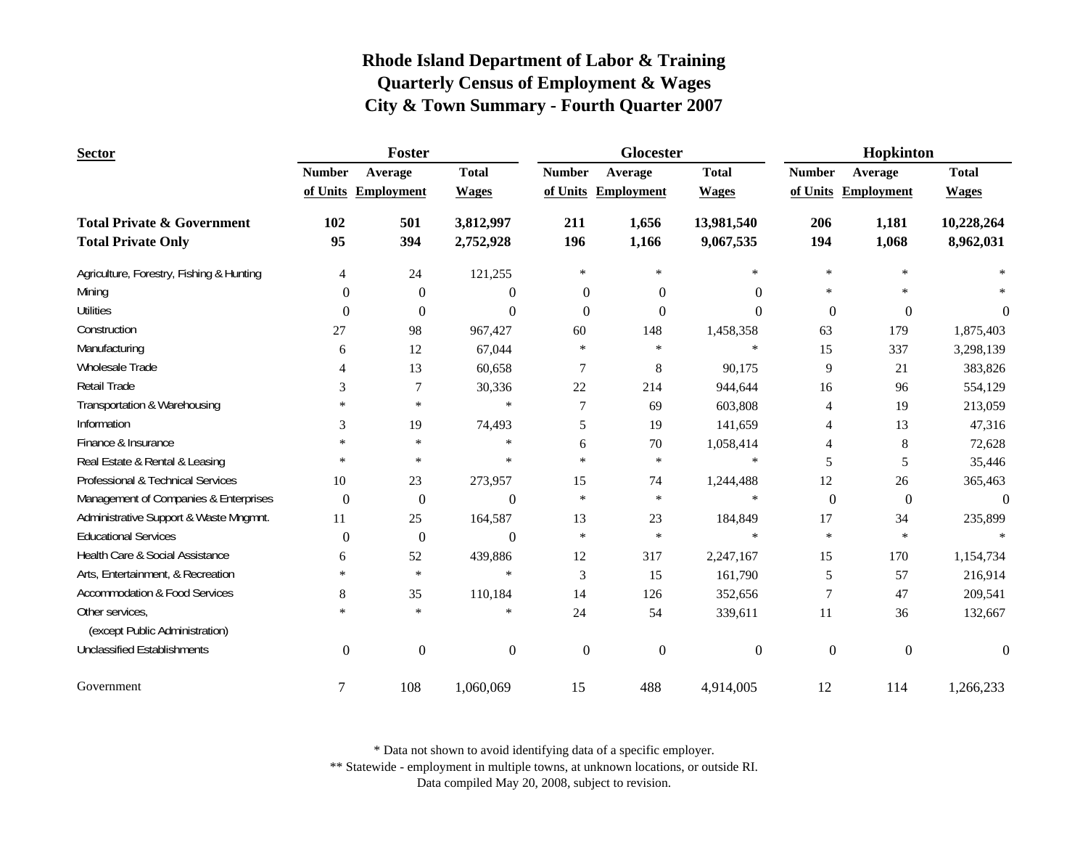| <b>Sector</b>                                     |               | Foster              |                  |                  | Glocester           |                  | Hopkinton     |                     |              |
|---------------------------------------------------|---------------|---------------------|------------------|------------------|---------------------|------------------|---------------|---------------------|--------------|
|                                                   | <b>Number</b> | Average             | <b>Total</b>     | <b>Number</b>    | Average             | <b>Total</b>     | <b>Number</b> | Average             | <b>Total</b> |
|                                                   |               | of Units Employment | <b>Wages</b>     |                  | of Units Employment | <b>Wages</b>     |               | of Units Employment | <b>Wages</b> |
| <b>Total Private &amp; Government</b>             | 102           | 501                 | 3,812,997        | 211              | 1,656               | 13,981,540       | 206           | 1,181               | 10,228,264   |
| <b>Total Private Only</b>                         | 95            | 394                 | 2,752,928        | 196              | 1,166               | 9,067,535        | 194           | 1,068               | 8,962,031    |
| Agriculture, Forestry, Fishing & Hunting          | 4             | 24                  | 121,255          | $\ast$           | $\ast$              | $\ast$           | $\ast$        | $\ast$              |              |
| Mining                                            | $\Omega$      | $\theta$            | $\theta$         | $\theta$         | $\Omega$            | $\Omega$         | $\ast$        | *                   |              |
| <b>Utilities</b>                                  | $\Omega$      | $\Omega$            | $\Omega$         | $\Omega$         | $\Omega$            | $\Omega$         | $\Omega$      | $\Omega$            | $\Omega$     |
| Construction                                      | 27            | 98                  | 967,427          | 60               | 148                 | 1,458,358        | 63            | 179                 | 1,875,403    |
| Manufacturing                                     | 6             | 12                  | 67,044           | $\ast$           | $\ast$              | $\ast$           | 15            | 337                 | 3,298,139    |
| Wholesale Trade                                   | 4             | 13                  | 60,658           | 7                | 8                   | 90,175           | 9             | 21                  | 383,826      |
| Retail Trade                                      | 3             | 7                   | 30,336           | 22               | 214                 | 944,644          | 16            | 96                  | 554,129      |
| Transportation & Warehousing                      | $\ast$        | $\ast$              | $\ast$           | 7                | 69                  | 603,808          | 4             | 19                  | 213,059      |
| Information                                       | 3             | 19                  | 74,493           | 5                | 19                  | 141,659          | 4             | 13                  | 47,316       |
| Finance & Insurance                               | $\ast$        | $\ast$              | $\ast$           | 6                | 70                  | 1,058,414        | 4             | 8                   | 72,628       |
| Real Estate & Rental & Leasing                    | $\ast$        | $\ast$              | $\ast$           | $\ast$           | $\ast$              | $\ast$           | 5             | 5                   | 35,446       |
| Professional & Technical Services                 | 10            | 23                  | 273,957          | 15               | 74                  | 1,244,488        | 12            | 26                  | 365,463      |
| Management of Companies & Enterprises             | $\mathbf{0}$  | $\boldsymbol{0}$    | $\boldsymbol{0}$ | $\ast$           | $\ast$              | $\ast$           | $\mathbf{0}$  | $\boldsymbol{0}$    | $\theta$     |
| Administrative Support & Waste Mngmnt.            | 11            | 25                  | 164,587          | 13               | $23\,$              | 184,849          | 17            | 34                  | 235,899      |
| <b>Educational Services</b>                       | $\Omega$      | $\mathbf{0}$        | $\Omega$         | $\ast$           | $\ast$              | $\ast$           | $\ast$        | $\ast$              |              |
| Health Care & Social Assistance                   | 6             | 52                  | 439,886          | 12               | 317                 | 2,247,167        | 15            | 170                 | 1,154,734    |
| Arts, Entertainment, & Recreation                 | $\ast$        | $\ast$              | $\ast$           | 3                | 15                  | 161,790          | 5             | 57                  | 216,914      |
| <b>Accommodation &amp; Food Services</b>          | 8             | 35                  | 110,184          | 14               | 126                 | 352,656          | 7             | 47                  | 209,541      |
| Other services,<br>(except Public Administration) | $\ast$        | $\ast$              | $\ast$           | 24               | 54                  | 339,611          | 11            | 36                  | 132,667      |
| <b>Unclassified Establishments</b>                | $\mathbf{0}$  | $\mathbf{0}$        | $\mathbf{0}$     | $\boldsymbol{0}$ | $\mathbf{0}$        | $\boldsymbol{0}$ | $\mathbf{0}$  | $\mathbf{0}$        | $\Omega$     |
| Government                                        | 7             | 108                 | 1,060,069        | 15               | 488                 | 4,914,005        | 12            | 114                 | 1,266,233    |

\* Data not shown to avoid identifying data of a specific employer.

\*\* Statewide - employment in multiple towns, at unknown locations, or outside RI.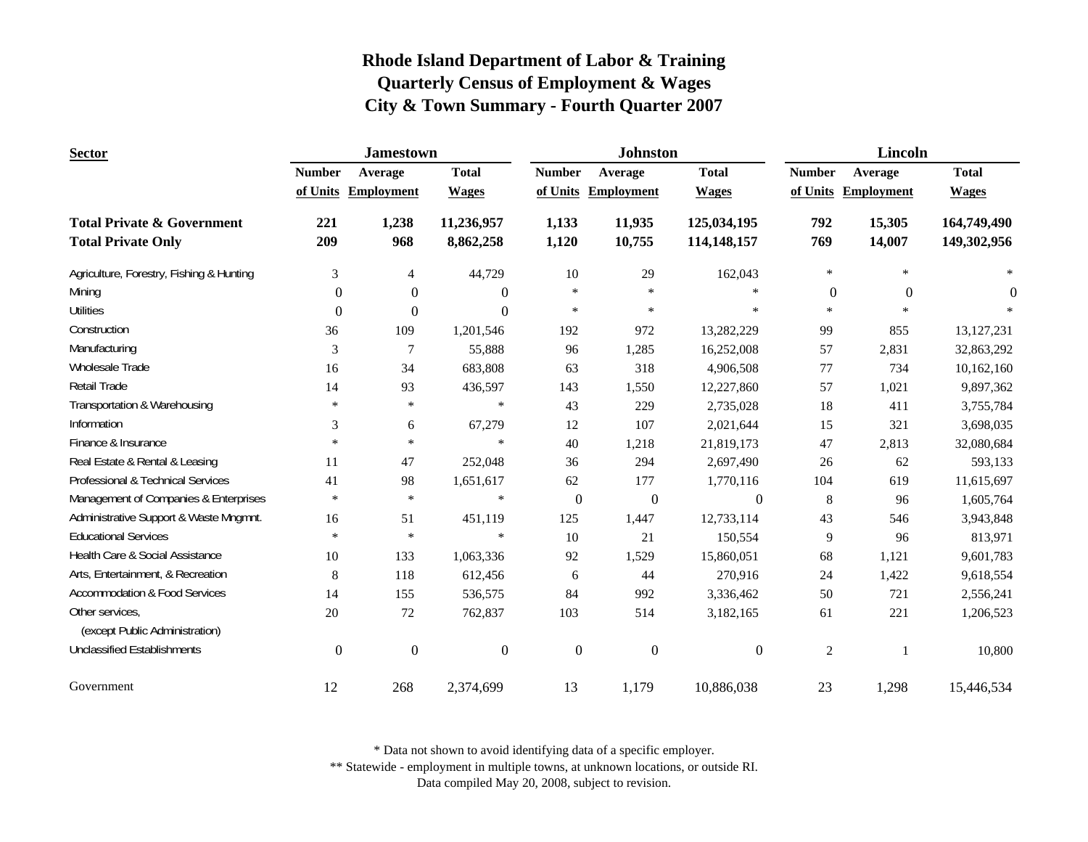| <b>Sector</b>                                                      |                  | <b>Jamestown</b>  |                         |                  | <b>Johnston</b>   |                            | <b>Lincoln</b>   |                     |                            |
|--------------------------------------------------------------------|------------------|-------------------|-------------------------|------------------|-------------------|----------------------------|------------------|---------------------|----------------------------|
|                                                                    | <b>Number</b>    | Average           | <b>Total</b>            | <b>Number</b>    | Average           | <b>Total</b>               | <b>Number</b>    | Average             | <b>Total</b>               |
|                                                                    | of Units         | <b>Employment</b> | <b>Wages</b>            | of Units         | <b>Employment</b> | <b>Wages</b>               |                  | of Units Employment | <b>Wages</b>               |
| <b>Total Private &amp; Government</b><br><b>Total Private Only</b> | 221<br>209       | 1,238<br>968      | 11,236,957<br>8,862,258 | 1,133<br>1,120   | 11,935<br>10,755  | 125,034,195<br>114,148,157 | 792<br>769       | 15,305<br>14,007    | 164,749,490<br>149,302,956 |
| Agriculture, Forestry, Fishing & Hunting                           | 3                | $\overline{4}$    | 44,729                  | 10               | 29                | 162,043                    | $\ast$           | $\ast$              | $\ast$                     |
| Mining                                                             | $\overline{0}$   | $\boldsymbol{0}$  | $\boldsymbol{0}$        | $\ast$           | $\ast$            | $\ast$                     | $\boldsymbol{0}$ | $\mathbf{0}$        | $\Omega$                   |
| <b>Utilities</b>                                                   | $\boldsymbol{0}$ | $\boldsymbol{0}$  | $\Omega$                | $\ast$           | $\ast$            | $\ast$                     | $\ast$           |                     |                            |
| Construction                                                       | 36               | 109               | 1,201,546               | 192              | 972               | 13,282,229                 | 99               | 855                 | 13, 127, 231               |
| Manufacturing                                                      | 3                | 7                 | 55,888                  | 96               | 1,285             | 16,252,008                 | 57               | 2,831               | 32,863,292                 |
| Wholesale Trade                                                    | 16               | 34                | 683,808                 | 63               | 318               | 4,906,508                  | 77               | 734                 | 10,162,160                 |
| Retail Trade                                                       | 14               | 93                | 436,597                 | 143              | 1,550             | 12,227,860                 | 57               | 1,021               | 9,897,362                  |
| Transportation & Warehousing                                       | $\ast$           | $\ast$            | $\ast$                  | 43               | 229               | 2,735,028                  | 18               | 411                 | 3,755,784                  |
| Information                                                        | 3                | 6                 | 67,279                  | 12               | 107               | 2,021,644                  | 15               | 321                 | 3,698,035                  |
| Finance & Insurance                                                | $\ast$           | $\ast$            | $\ast$                  | 40               | 1,218             | 21,819,173                 | 47               | 2,813               | 32,080,684                 |
| Real Estate & Rental & Leasing                                     | 11               | 47                | 252,048                 | 36               | 294               | 2,697,490                  | 26               | 62                  | 593,133                    |
| Professional & Technical Services                                  | 41               | 98                | 1,651,617               | 62               | 177               | 1,770,116                  | 104              | 619                 | 11,615,697                 |
| Management of Companies & Enterprises                              | $\ast$           | $\ast$            | $\ast$                  | $\boldsymbol{0}$ | $\boldsymbol{0}$  | $\boldsymbol{0}$           | $\,8\,$          | 96                  | 1,605,764                  |
| Administrative Support & Waste Mngmnt.                             | 16               | 51                | 451,119                 | 125              | 1,447             | 12,733,114                 | 43               | 546                 | 3,943,848                  |
| <b>Educational Services</b>                                        | $\ast$           | $\ast$            | $\ast$                  | 10               | 21                | 150,554                    | 9                | 96                  | 813,971                    |
| Health Care & Social Assistance                                    | 10               | 133               | 1,063,336               | 92               | 1,529             | 15,860,051                 | 68               | 1,121               | 9,601,783                  |
| Arts, Entertainment, & Recreation                                  | 8                | 118               | 612,456                 | 6                | 44                | 270,916                    | $24\,$           | 1,422               | 9,618,554                  |
| <b>Accommodation &amp; Food Services</b>                           | 14               | 155               | 536,575                 | 84               | 992               | 3,336,462                  | 50               | 721                 | 2,556,241                  |
| Other services,<br>(except Public Administration)                  | 20               | 72                | 762,837                 | 103              | 514               | 3,182,165                  | 61               | 221                 | 1,206,523                  |
| <b>Unclassified Establishments</b>                                 | $\boldsymbol{0}$ | $\boldsymbol{0}$  | $\boldsymbol{0}$        | $\boldsymbol{0}$ | $\boldsymbol{0}$  | $\boldsymbol{0}$           | $\overline{2}$   | $\overline{1}$      | 10,800                     |
| Government                                                         | 12               | 268               | 2,374,699               | 13               | 1,179             | 10,886,038                 | 23               | 1,298               | 15,446,534                 |

\* Data not shown to avoid identifying data of a specific employer.

\*\* Statewide - employment in multiple towns, at unknown locations, or outside RI.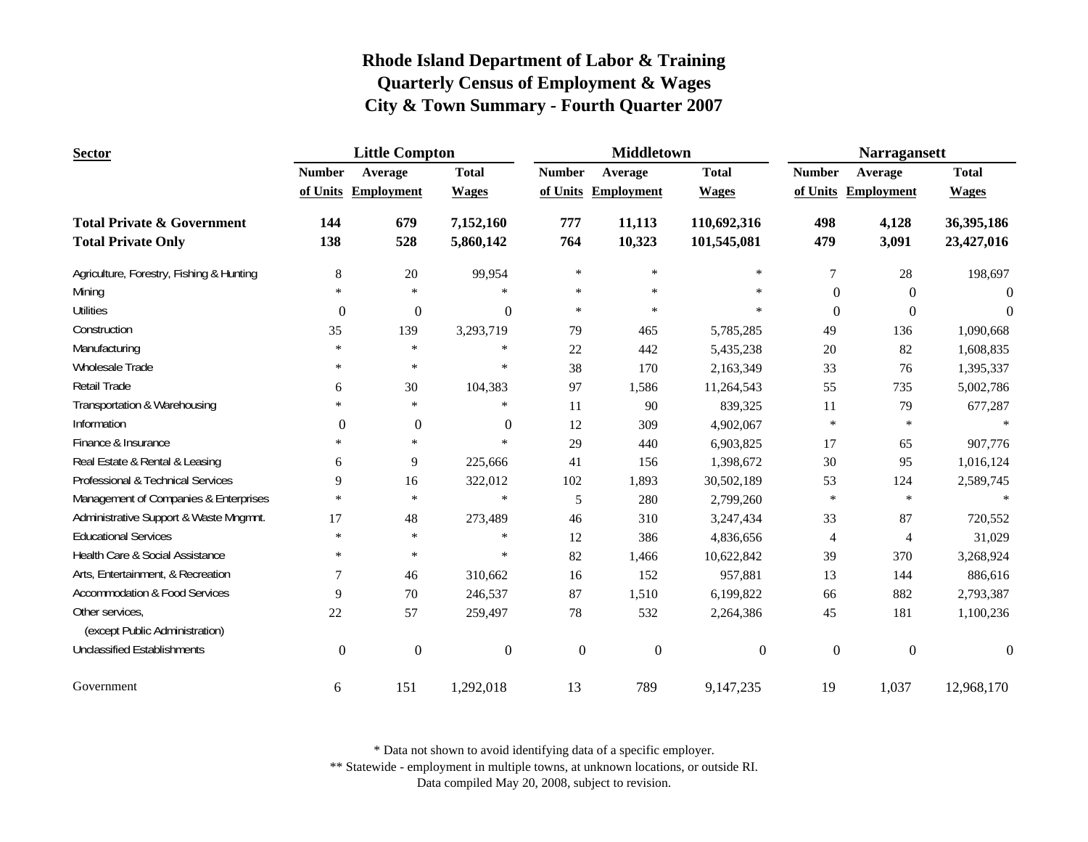| <b>Sector</b>                            |                  | <b>Little Compton</b> |                  |                  | <b>Middletown</b>   |                  | <b>Narragansett</b> |                     |              |
|------------------------------------------|------------------|-----------------------|------------------|------------------|---------------------|------------------|---------------------|---------------------|--------------|
|                                          | <b>Number</b>    | Average               | <b>Total</b>     | <b>Number</b>    | Average             | <b>Total</b>     | <b>Number</b>       | Average             | <b>Total</b> |
|                                          |                  | of Units Employment   | <b>Wages</b>     |                  | of Units Employment | <b>Wages</b>     |                     | of Units Employment | <b>Wages</b> |
| <b>Total Private &amp; Government</b>    | 144              | 679                   | 7,152,160        | 777              | 11,113              | 110,692,316      | 498                 | 4,128               | 36,395,186   |
| <b>Total Private Only</b>                | 138              | 528                   | 5,860,142        | 764              | 10,323              | 101,545,081      | 479                 | 3,091               | 23,427,016   |
| Agriculture, Forestry, Fishing & Hunting | $\,8\,$          | 20                    | 99,954           | $\ast$           | $\ast$              | $\ast$           | $\tau$              | 28                  | 198,697      |
| Mining                                   | $\ast$           | $\ast$                |                  | $\ast$           | $\ast$              | $\ast$           | $\boldsymbol{0}$    | $\overline{0}$      | $\Omega$     |
| <b>Utilities</b>                         | $\mathbf{0}$     | $\boldsymbol{0}$      | $\theta$         | $\ast$           | $\ast$              | $\ast$           | $\boldsymbol{0}$    | $\Omega$            | $\Omega$     |
| Construction                             | 35               | 139                   | 3,293,719        | 79               | 465                 | 5,785,285        | 49                  | 136                 | 1,090,668    |
| Manufacturing                            | $\ast$           | $\ast$                | $\ast$           | 22               | 442                 | 5,435,238        | 20                  | 82                  | 1,608,835    |
| <b>Wholesale Trade</b>                   | $\ast$           | $\ast$                | $\ast$           | 38               | 170                 | 2,163,349        | 33                  | 76                  | 1,395,337    |
| Retail Trade                             | 6                | 30                    | 104,383          | 97               | 1,586               | 11,264,543       | 55                  | 735                 | 5,002,786    |
| Transportation & Warehousing             | $\ast$           | $\ast$                | $\ast$           | 11               | 90                  | 839,325          | 11                  | 79                  | 677,287      |
| Information                              | $\boldsymbol{0}$ | $\boldsymbol{0}$      | $\mathbf{0}$     | 12               | 309                 | 4,902,067        | $\ast$              | $\ast$              |              |
| Finance & Insurance                      | $\ast$           | $\ast$                | $\ast$           | 29               | 440                 | 6,903,825        | 17                  | 65                  | 907,776      |
| Real Estate & Rental & Leasing           | 6                | 9                     | 225,666          | 41               | 156                 | 1,398,672        | $30\,$              | 95                  | 1,016,124    |
| Professional & Technical Services        | 9                | 16                    | 322,012          | 102              | 1,893               | 30,502,189       | 53                  | 124                 | 2,589,745    |
| Management of Companies & Enterprises    | $\ast$           | $\ast$                | $\ast$           | 5                | 280                 | 2,799,260        | $\ast$              | $\ast$              |              |
| Administrative Support & Waste Mngmnt.   | 17               | 48                    | 273,489          | 46               | 310                 | 3,247,434        | 33                  | 87                  | 720,552      |
| <b>Educational Services</b>              | $\ast$           | $\ast$                | $\ast$           | 12               | 386                 | 4,836,656        | 4                   | 4                   | 31,029       |
| Health Care & Social Assistance          | $\ast$           | $\ast$                | $\ast$           | 82               | 1,466               | 10,622,842       | 39                  | 370                 | 3,268,924    |
| Arts, Entertainment, & Recreation        | 7                | 46                    | 310,662          | 16               | 152                 | 957,881          | 13                  | 144                 | 886,616      |
| <b>Accommodation &amp; Food Services</b> | 9                | 70                    | 246,537          | 87               | 1,510               | 6,199,822        | 66                  | 882                 | 2,793,387    |
| Other services,                          | 22               | 57                    | 259,497          | 78               | 532                 | 2,264,386        | 45                  | 181                 | 1,100,236    |
| (except Public Administration)           |                  |                       |                  |                  |                     |                  |                     |                     |              |
| <b>Unclassified Establishments</b>       | $\boldsymbol{0}$ | $\boldsymbol{0}$      | $\boldsymbol{0}$ | $\boldsymbol{0}$ | $\boldsymbol{0}$    | $\boldsymbol{0}$ | $\boldsymbol{0}$    | $\boldsymbol{0}$    | $\Omega$     |
| Government                               | 6                | 151                   | 1,292,018        | 13               | 789                 | 9,147,235        | 19                  | 1,037               | 12,968,170   |

\* Data not shown to avoid identifying data of a specific employer.

\*\* Statewide - employment in multiple towns, at unknown locations, or outside RI.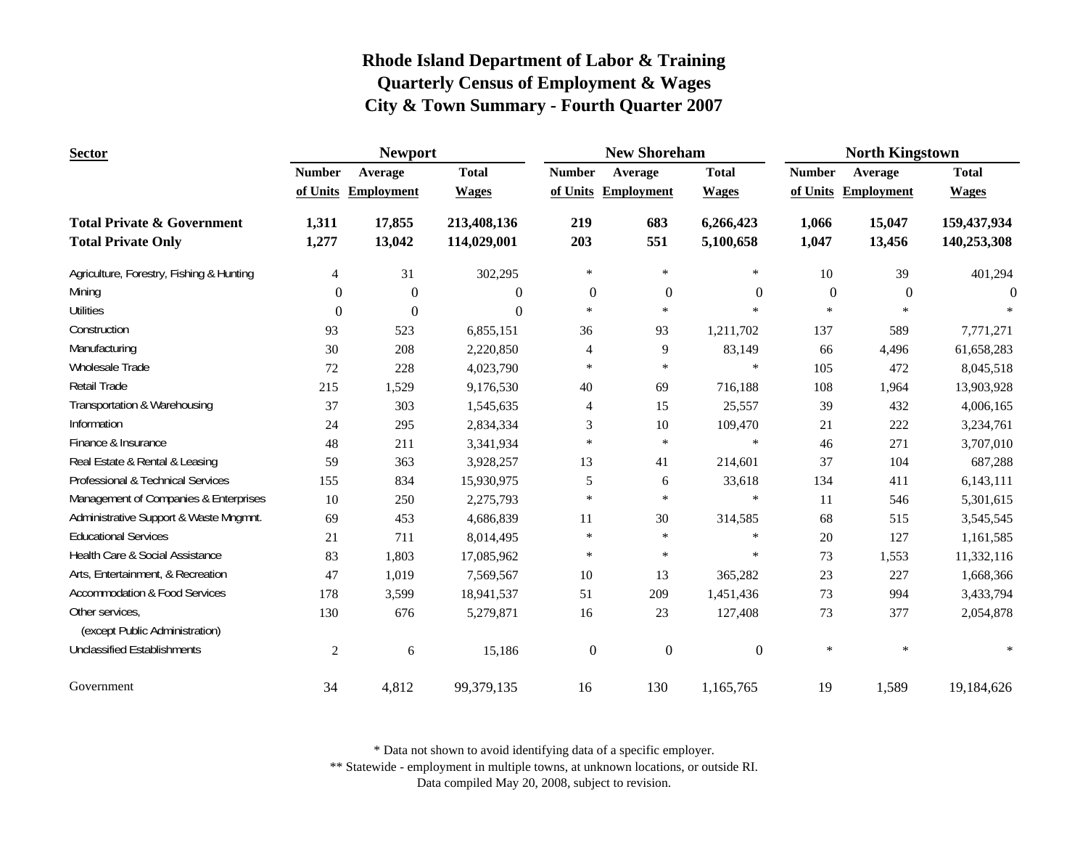| <b>Sector</b>                                     |                | <b>Newport</b>      |              |                  | <b>New Shoreham</b> |                  | <b>North Kingstown</b> |                   |              |  |
|---------------------------------------------------|----------------|---------------------|--------------|------------------|---------------------|------------------|------------------------|-------------------|--------------|--|
|                                                   | <b>Number</b>  | Average             | <b>Total</b> | <b>Number</b>    | Average             | <b>Total</b>     | <b>Number</b>          | Average           | <b>Total</b> |  |
|                                                   |                | of Units Employment | <b>Wages</b> |                  | of Units Employment | <b>Wages</b>     | of Units               | <b>Employment</b> | <b>Wages</b> |  |
| <b>Total Private &amp; Government</b>             | 1,311          | 17,855              | 213,408,136  | 219              | 683                 | 6,266,423        | 1,066                  | 15,047            | 159,437,934  |  |
| <b>Total Private Only</b>                         | 1,277          | 13,042              | 114,029,001  | 203              | 551                 | 5,100,658        | 1,047                  | 13,456            | 140,253,308  |  |
| Agriculture, Forestry, Fishing & Hunting          | 4              | 31                  | 302,295      | $\ast$           | $\ast$              | $\ast$           | 10                     | 39                | 401,294      |  |
| Mining                                            | $\theta$       | $\mathbf{0}$        | $\mathbf{0}$ | $\boldsymbol{0}$ | $\theta$            | $\boldsymbol{0}$ | $\boldsymbol{0}$       | $\overline{0}$    | $\Omega$     |  |
| <b>Utilities</b>                                  | $\overline{0}$ | $\mathbf{0}$        | $\Omega$     | $\ast$           | $\ast$              | $\ast$           | $\ast$                 | $\ast$            |              |  |
| Construction                                      | 93             | 523                 | 6,855,151    | 36               | 93                  | 1,211,702        | 137                    | 589               | 7,771,271    |  |
| Manufacturing                                     | 30             | 208                 | 2,220,850    | 4                | 9                   | 83,149           | 66                     | 4,496             | 61,658,283   |  |
| Wholesale Trade                                   | 72             | 228                 | 4,023,790    | $\ast$           | $\ast$              | $\ast$           | 105                    | 472               | 8,045,518    |  |
| Retail Trade                                      | 215            | 1,529               | 9,176,530    | 40               | 69                  | 716,188          | 108                    | 1,964             | 13,903,928   |  |
| Transportation & Warehousing                      | 37             | 303                 | 1,545,635    | $\overline{4}$   | 15                  | 25,557           | 39                     | 432               | 4,006,165    |  |
| Information                                       | 24             | 295                 | 2,834,334    | 3                | 10                  | 109,470          | 21                     | 222               | 3,234,761    |  |
| Finance & Insurance                               | 48             | 211                 | 3,341,934    | $\ast$           | $\ast$              | $\ast$           | 46                     | 271               | 3,707,010    |  |
| Real Estate & Rental & Leasing                    | 59             | 363                 | 3,928,257    | 13               | 41                  | 214,601          | 37                     | 104               | 687,288      |  |
| Professional & Technical Services                 | 155            | 834                 | 15,930,975   | 5                | 6                   | 33,618           | 134                    | 411               | 6,143,111    |  |
| Management of Companies & Enterprises             | 10             | 250                 | 2,275,793    | $\ast$           | $\ast$              | $\ast$           | 11                     | 546               | 5,301,615    |  |
| Administrative Support & Waste Mngmnt.            | 69             | 453                 | 4,686,839    | 11               | 30                  | 314,585          | 68                     | 515               | 3,545,545    |  |
| <b>Educational Services</b>                       | 21             | 711                 | 8,014,495    | $\ast$           | $\ast$              | $\ast$           | 20                     | 127               | 1,161,585    |  |
| Health Care & Social Assistance                   | 83             | 1,803               | 17,085,962   | $\ast$           | $\ast$              | $\ast$           | 73                     | 1,553             | 11,332,116   |  |
| Arts, Entertainment, & Recreation                 | 47             | 1,019               | 7,569,567    | 10               | 13                  | 365,282          | 23                     | 227               | 1,668,366    |  |
| <b>Accommodation &amp; Food Services</b>          | 178            | 3,599               | 18,941,537   | 51               | 209                 | 1,451,436        | 73                     | 994               | 3,433,794    |  |
| Other services,<br>(except Public Administration) | 130            | 676                 | 5,279,871    | 16               | 23                  | 127,408          | 73                     | 377               | 2,054,878    |  |
| <b>Unclassified Establishments</b>                | $\overline{c}$ | 6                   | 15,186       | $\boldsymbol{0}$ | $\boldsymbol{0}$    | $\boldsymbol{0}$ | $\ast$                 | $\ast$            |              |  |
| Government                                        | 34             | 4,812               | 99,379,135   | 16               | 130                 | 1,165,765        | 19                     | 1,589             | 19,184,626   |  |

\* Data not shown to avoid identifying data of a specific employer.

\*\* Statewide - employment in multiple towns, at unknown locations, or outside RI.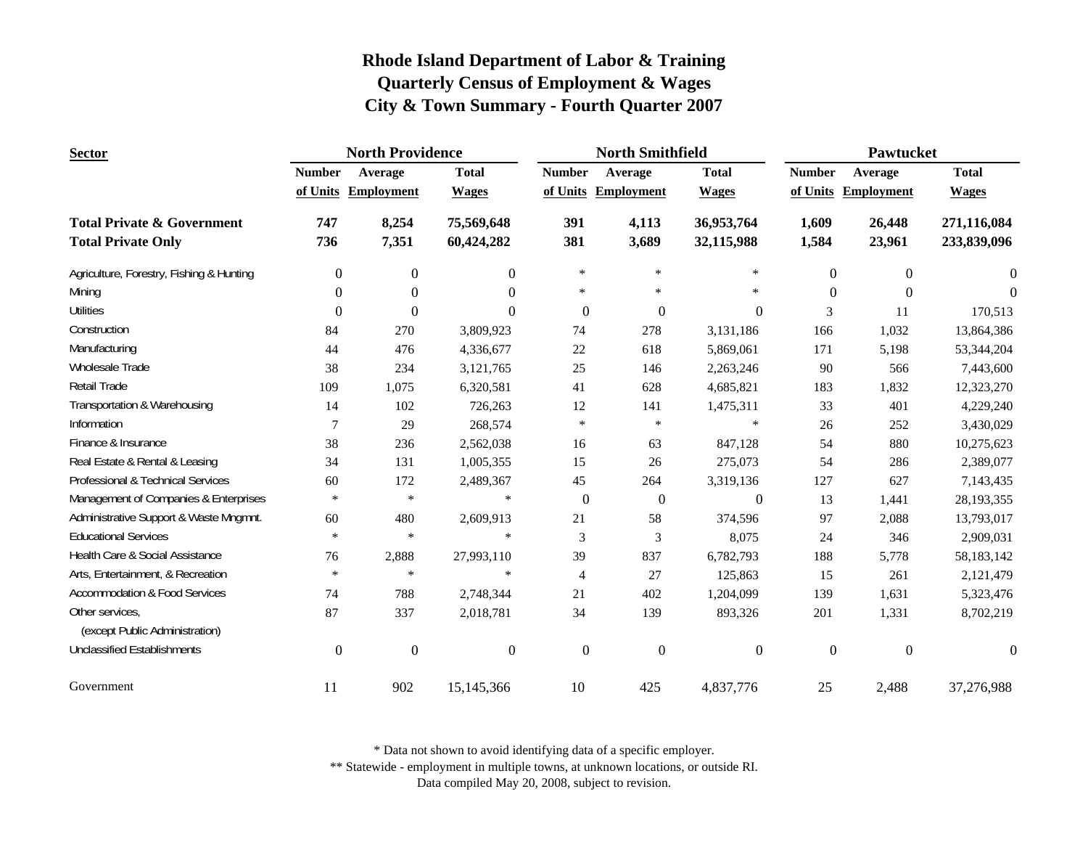| <b>Sector</b>                                                      |                  | <b>North Providence</b> |                          |                  | <b>North Smithfield</b> |                          | Pawtucket        |                   |                            |
|--------------------------------------------------------------------|------------------|-------------------------|--------------------------|------------------|-------------------------|--------------------------|------------------|-------------------|----------------------------|
|                                                                    | <b>Number</b>    | Average                 | <b>Total</b>             | <b>Number</b>    | Average                 | <b>Total</b>             | <b>Number</b>    | Average           | <b>Total</b>               |
|                                                                    |                  | of Units Employment     | <b>Wages</b>             |                  | of Units Employment     | <b>Wages</b>             | of Units         | <b>Employment</b> | <b>Wages</b>               |
| <b>Total Private &amp; Government</b><br><b>Total Private Only</b> | 747<br>736       | 8,254<br>7,351          | 75,569,648<br>60,424,282 | 391<br>381       | 4,113<br>3,689          | 36,953,764<br>32,115,988 | 1,609<br>1,584   | 26,448<br>23,961  | 271,116,084<br>233,839,096 |
| Agriculture, Forestry, Fishing & Hunting                           | $\boldsymbol{0}$ | $\boldsymbol{0}$        | $\overline{0}$           | $\ast$           | $\ast$                  | $\ast$                   | $\boldsymbol{0}$ | $\mathbf{0}$      | $\overline{0}$             |
| Mining                                                             | $\Omega$         | $\mathbf{0}$            | $\Omega$                 | $\ast$           | $\ast$                  | $\ast$                   | $\Omega$         | $\Omega$          | $\Omega$                   |
| <b>Utilities</b>                                                   | $\Omega$         | $\mathbf{0}$            | $\Omega$                 | $\boldsymbol{0}$ | $\mathbf{0}$            | 0                        | 3                | 11                | 170,513                    |
| Construction                                                       | 84               | 270                     | 3,809,923                | 74               | 278                     | 3,131,186                | 166              | 1,032             | 13,864,386                 |
| Manufacturing                                                      | 44               | 476                     | 4,336,677                | $22\,$           | 618                     | 5,869,061                | 171              | 5,198             | 53,344,204                 |
| Wholesale Trade                                                    | 38               | 234                     | 3,121,765                | $25\,$           | 146                     | 2,263,246                | 90               | 566               | 7,443,600                  |
| Retail Trade                                                       | 109              | 1,075                   | 6,320,581                | 41               | 628                     | 4,685,821                | 183              | 1,832             | 12,323,270                 |
| Transportation & Warehousing                                       | 14               | 102                     | 726,263                  | 12               | 141                     | 1,475,311                | 33               | 401               | 4,229,240                  |
| Information                                                        | 7                | 29                      | 268,574                  | $\ast$           | $\ast$                  | $\ast$                   | 26               | 252               | 3,430,029                  |
| Finance & Insurance                                                | 38               | 236                     | 2,562,038                | 16               | 63                      | 847,128                  | 54               | 880               | 10,275,623                 |
| Real Estate & Rental & Leasing                                     | 34               | 131                     | 1,005,355                | 15               | 26                      | 275,073                  | 54               | 286               | 2,389,077                  |
| Professional & Technical Services                                  | 60               | 172                     | 2,489,367                | 45               | 264                     | 3,319,136                | 127              | 627               | 7,143,435                  |
| Management of Companies & Enterprises                              | $\ast$           | $\ast$                  | $\ast$                   | $\boldsymbol{0}$ | $\boldsymbol{0}$        | $\overline{0}$           | 13               | 1,441             | 28,193,355                 |
| Administrative Support & Waste Mngmnt.                             | 60               | 480                     | 2,609,913                | 21               | 58                      | 374,596                  | 97               | 2,088             | 13,793,017                 |
| <b>Educational Services</b>                                        | $\ast$           | $\ast$                  | $\ast$                   | 3                | 3                       | 8,075                    | 24               | 346               | 2,909,031                  |
| Health Care & Social Assistance                                    | 76               | 2,888                   | 27,993,110               | 39               | 837                     | 6,782,793                | 188              | 5,778             | 58,183,142                 |
| Arts, Entertainment, & Recreation                                  | $\ast$           | $\ast$                  | $\ast$                   | 4                | 27                      | 125,863                  | 15               | 261               | 2,121,479                  |
| <b>Accommodation &amp; Food Services</b>                           | 74               | 788                     | 2,748,344                | 21               | 402                     | 1,204,099                | 139              | 1,631             | 5,323,476                  |
| Other services,<br>(except Public Administration)                  | 87               | 337                     | 2,018,781                | 34               | 139                     | 893,326                  | 201              | 1,331             | 8,702,219                  |
| <b>Unclassified Establishments</b>                                 | $\overline{0}$   | $\boldsymbol{0}$        | $\overline{0}$           | $\overline{0}$   | $\boldsymbol{0}$        | $\boldsymbol{0}$         | $\Omega$         | $\theta$          | $\Omega$                   |
| Government                                                         | 11               | 902                     | 15,145,366               | 10               | 425                     | 4,837,776                | 25               | 2,488             | 37,276,988                 |

\* Data not shown to avoid identifying data of a specific employer.

\*\* Statewide - employment in multiple towns, at unknown locations, or outside RI.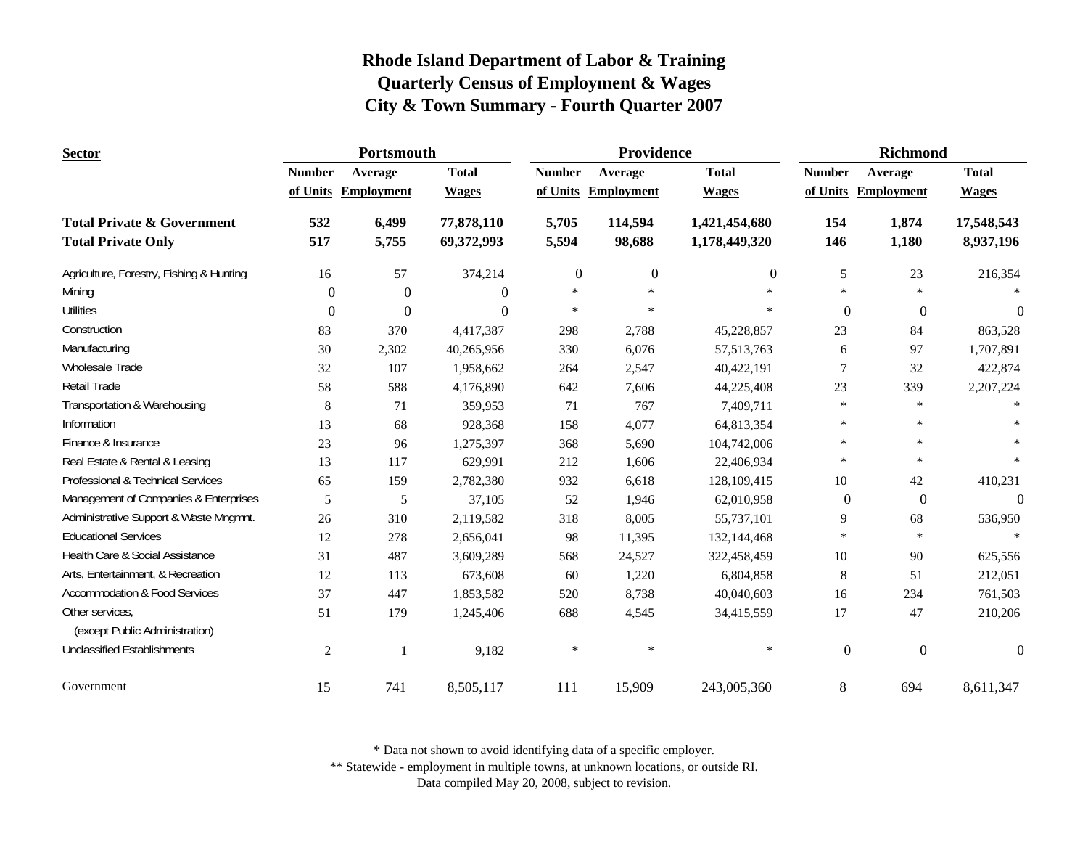| <b>Sector</b>                                     | Portsmouth    |                   |              |               | Providence        |               | Richmond         |                   |                |
|---------------------------------------------------|---------------|-------------------|--------------|---------------|-------------------|---------------|------------------|-------------------|----------------|
|                                                   | <b>Number</b> | Average           | <b>Total</b> | <b>Number</b> | Average           | <b>Total</b>  | <b>Number</b>    | Average           | <b>Total</b>   |
|                                                   | of Units      | <b>Employment</b> | <b>Wages</b> | of Units      | <b>Employment</b> | <b>Wages</b>  | of Units         | <b>Employment</b> | <b>Wages</b>   |
| <b>Total Private &amp; Government</b>             | 532           | 6,499             | 77,878,110   | 5,705         | 114,594           | 1,421,454,680 | 154              | 1,874             | 17,548,543     |
| <b>Total Private Only</b>                         | 517           | 5,755             | 69,372,993   | 5,594         | 98,688            | 1,178,449,320 | 146              | 1,180             | 8,937,196      |
| Agriculture, Forestry, Fishing & Hunting          | 16            | 57                | 374,214      | $\mathbf{0}$  | $\mathbf{0}$      | $\theta$      | 5                | 23                | 216,354        |
| Mining                                            | $\Omega$      | $\overline{0}$    | $\mathbf{0}$ | $\ast$        | $\ast$            | $\ast$        | $\ast$           | $\ast$            |                |
| <b>Utilities</b>                                  | $\theta$      | $\Omega$          | $\Omega$     | $\ast$        | $\ast$            | $\ast$        | $\mathbf{0}$     | $\theta$          | $\theta$       |
| Construction                                      | 83            | 370               | 4,417,387    | 298           | 2,788             | 45,228,857    | 23               | 84                | 863,528        |
| Manufacturing                                     | 30            | 2,302             | 40,265,956   | 330           | 6,076             | 57, 513, 763  | 6                | 97                | 1,707,891      |
| Wholesale Trade                                   | 32            | 107               | 1,958,662    | 264           | 2,547             | 40,422,191    | $\overline{7}$   | 32                | 422,874        |
| <b>Retail Trade</b>                               | 58            | 588               | 4,176,890    | 642           | 7,606             | 44,225,408    | 23               | 339               | 2,207,224      |
| Transportation & Warehousing                      | 8             | 71                | 359,953      | 71            | 767               | 7,409,711     | $\ast$           | $\ast$            |                |
| Information                                       | 13            | 68                | 928,368      | 158           | 4,077             | 64,813,354    | $\ast$           | $\ast$            |                |
| Finance & Insurance                               | 23            | 96                | 1,275,397    | 368           | 5,690             | 104,742,006   | $\ast$           | $\ast$            |                |
| Real Estate & Rental & Leasing                    | 13            | 117               | 629,991      | 212           | 1,606             | 22,406,934    | $\ast$           | $\ast$            |                |
| Professional & Technical Services                 | 65            | 159               | 2,782,380    | 932           | 6,618             | 128,109,415   | 10               | 42                | 410,231        |
| Management of Companies & Enterprises             | 5             | 5                 | 37,105       | 52            | 1,946             | 62,010,958    | $\mathbf{0}$     | $\boldsymbol{0}$  | $\overline{0}$ |
| Administrative Support & Waste Mngmnt.            | 26            | 310               | 2,119,582    | 318           | 8,005             | 55,737,101    | 9                | 68                | 536,950        |
| <b>Educational Services</b>                       | 12            | 278               | 2,656,041    | 98            | 11,395            | 132,144,468   | $\ast$           | $\ast$            |                |
| Health Care & Social Assistance                   | 31            | 487               | 3,609,289    | 568           | 24,527            | 322,458,459   | $10\,$           | 90                | 625,556        |
| Arts, Entertainment, & Recreation                 | 12            | 113               | 673,608      | 60            | 1,220             | 6,804,858     | 8                | 51                | 212,051        |
| <b>Accommodation &amp; Food Services</b>          | 37            | 447               | 1,853,582    | 520           | 8,738             | 40,040,603    | 16               | 234               | 761,503        |
| Other services,<br>(except Public Administration) | 51            | 179               | 1,245,406    | 688           | 4,545             | 34,415,559    | 17               | 47                | 210,206        |
| <b>Unclassified Establishments</b>                |               |                   |              | $\ast$        | $\ast$            | $\ast$        |                  |                   |                |
|                                                   | $\mathbf{2}$  |                   | 9,182        |               |                   |               | $\boldsymbol{0}$ | $\boldsymbol{0}$  | $\mathbf{0}$   |
| Government                                        | 15            | 741               | 8,505,117    | 111           | 15,909            | 243,005,360   | $\,8\,$          | 694               | 8,611,347      |

\* Data not shown to avoid identifying data of a specific employer.

\*\* Statewide - employment in multiple towns, at unknown locations, or outside RI.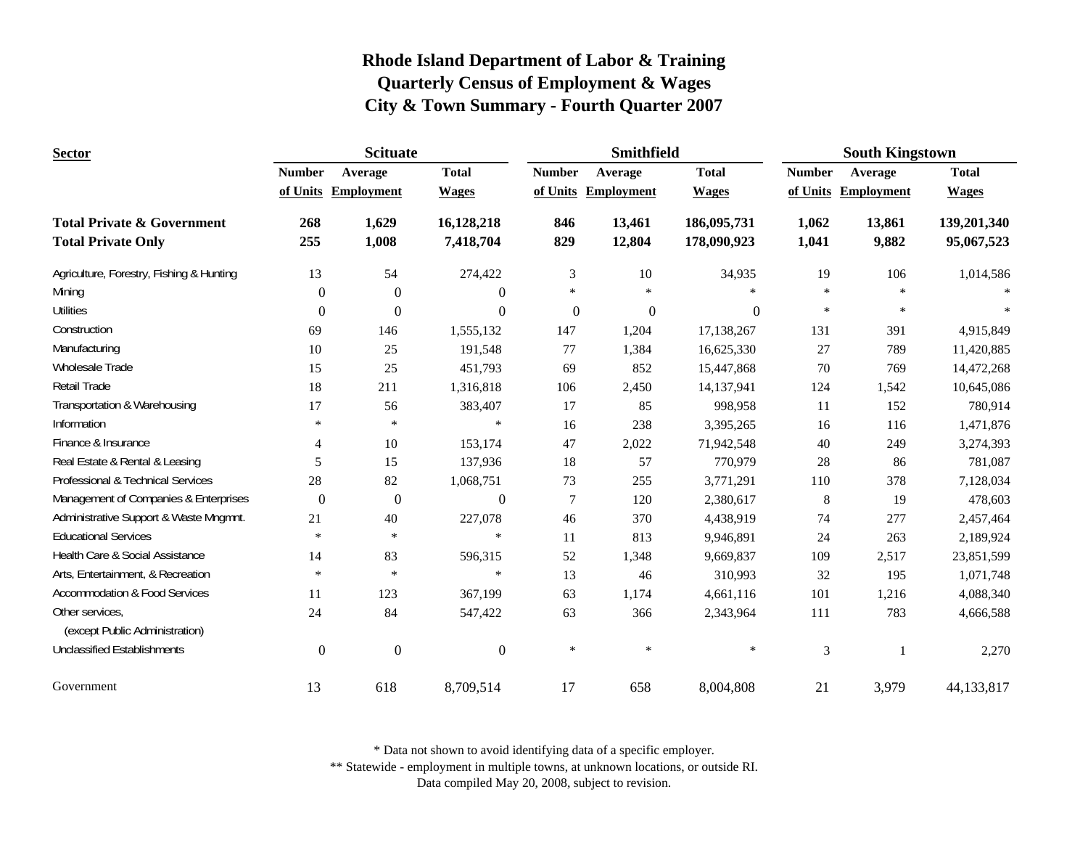| <b>Sector</b>                                                      | <b>Scituate</b>  |                     |                         |                | Smithfield          |                            | <b>South Kingstown</b> |                     |                           |
|--------------------------------------------------------------------|------------------|---------------------|-------------------------|----------------|---------------------|----------------------------|------------------------|---------------------|---------------------------|
|                                                                    | <b>Number</b>    | Average             | <b>Total</b>            | <b>Number</b>  | Average             | <b>Total</b>               | <b>Number</b>          | Average             | <b>Total</b>              |
|                                                                    |                  | of Units Employment | <b>Wages</b>            |                | of Units Employment | <b>Wages</b>               |                        | of Units Employment | <b>Wages</b>              |
| <b>Total Private &amp; Government</b><br><b>Total Private Only</b> | 268<br>255       | 1,629<br>1,008      | 16,128,218<br>7,418,704 | 846<br>829     | 13,461<br>12,804    | 186,095,731<br>178,090,923 | 1,062<br>1,041         | 13,861<br>9,882     | 139,201,340<br>95,067,523 |
| Agriculture, Forestry, Fishing & Hunting                           | 13               | 54                  | 274,422                 | $\mathfrak{Z}$ | 10                  | 34,935                     | 19                     | 106                 | 1,014,586                 |
| Mining                                                             | $\theta$         | $\theta$            | $\theta$                | $\ast$         | $\ast$              | ×                          | $*$                    | $\ast$              |                           |
| <b>Utilities</b>                                                   | $\Omega$         | $\Omega$            | $\Omega$                | $\mathbf{0}$   | $\mathbf{0}$        | $\mathbf{0}$               | $\ast$                 | $\ast$              |                           |
| Construction                                                       | 69               | 146                 | 1,555,132               | 147            | 1,204               | 17,138,267                 | 131                    | 391                 | 4,915,849                 |
| Manufacturing                                                      | 10               | 25                  | 191,548                 | 77             | 1,384               | 16,625,330                 | 27                     | 789                 | 11,420,885                |
| Wholesale Trade                                                    | 15               | 25                  | 451,793                 | 69             | 852                 | 15,447,868                 | 70                     | 769                 | 14,472,268                |
| Retail Trade                                                       | 18               | 211                 | 1,316,818               | 106            | 2,450               | 14,137,941                 | 124                    | 1,542               | 10,645,086                |
| Transportation & Warehousing                                       | 17               | 56                  | 383,407                 | 17             | 85                  | 998,958                    | 11                     | 152                 | 780,914                   |
| Information                                                        | $\ast$           | $\ast$              | $\ast$                  | 16             | 238                 | 3,395,265                  | 16                     | 116                 | 1,471,876                 |
| Finance & Insurance                                                | $\overline{4}$   | 10                  | 153,174                 | 47             | 2,022               | 71,942,548                 | 40                     | 249                 | 3,274,393                 |
| Real Estate & Rental & Leasing                                     | 5                | 15                  | 137,936                 | 18             | 57                  | 770,979                    | $28\,$                 | 86                  | 781,087                   |
| Professional & Technical Services                                  | 28               | 82                  | 1,068,751               | 73             | 255                 | 3,771,291                  | 110                    | 378                 | 7,128,034                 |
| Management of Companies & Enterprises                              | $\boldsymbol{0}$ | $\boldsymbol{0}$    | $\boldsymbol{0}$        | $\tau$         | 120                 | 2,380,617                  | $\,8\,$                | 19                  | 478,603                   |
| Administrative Support & Waste Mngmnt.                             | 21               | 40                  | 227,078                 | 46             | 370                 | 4,438,919                  | 74                     | 277                 | 2,457,464                 |
| <b>Educational Services</b>                                        | $\ast$           | $\ast$              | $\ast$                  | 11             | 813                 | 9,946,891                  | 24                     | 263                 | 2,189,924                 |
| Health Care & Social Assistance                                    | 14               | 83                  | 596,315                 | 52             | 1,348               | 9,669,837                  | 109                    | 2,517               | 23,851,599                |
| Arts, Entertainment, & Recreation                                  | $\ast$           | $\ast$              | $\ast$                  | 13             | 46                  | 310,993                    | 32                     | 195                 | 1,071,748                 |
| <b>Accommodation &amp; Food Services</b>                           | 11               | 123                 | 367,199                 | 63             | 1,174               | 4,661,116                  | 101                    | 1,216               | 4,088,340                 |
| Other services,<br>(except Public Administration)                  | 24               | 84                  | 547,422                 | 63             | 366                 | 2,343,964                  | 111                    | 783                 | 4,666,588                 |
| <b>Unclassified Establishments</b>                                 | $\boldsymbol{0}$ | $\boldsymbol{0}$    | $\mathbf{0}$            | $\ast$         | $\ast$              | $\ast$                     | 3                      |                     | 2,270                     |
| Government                                                         | 13               | 618                 | 8,709,514               | 17             | 658                 | 8,004,808                  | 21                     | 3,979               | 44,133,817                |

\* Data not shown to avoid identifying data of a specific employer.

\*\* Statewide - employment in multiple towns, at unknown locations, or outside RI.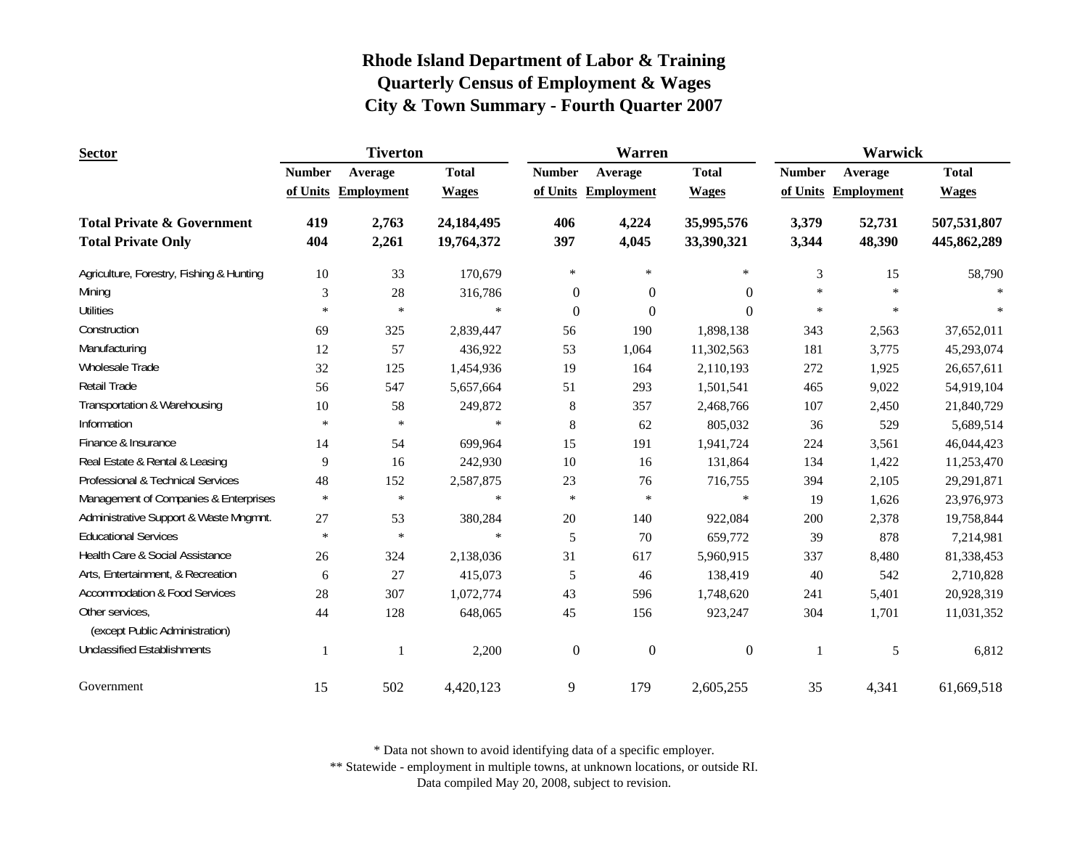| <b>Sector</b>                                                      | <b>Tiverton</b> |                   |                          |                  | Warren            |                          | <b>Warwick</b> |                   |                            |
|--------------------------------------------------------------------|-----------------|-------------------|--------------------------|------------------|-------------------|--------------------------|----------------|-------------------|----------------------------|
|                                                                    | <b>Number</b>   | Average           | <b>Total</b>             | <b>Number</b>    | Average           | <b>Total</b>             | <b>Number</b>  | Average           | <b>Total</b>               |
|                                                                    | of Units        | <b>Employment</b> | <b>Wages</b>             | of Units         | <b>Employment</b> | <b>Wages</b>             | of Units       | <b>Employment</b> | <b>Wages</b>               |
| <b>Total Private &amp; Government</b><br><b>Total Private Only</b> | 419<br>404      | 2,763<br>2,261    | 24,184,495<br>19,764,372 | 406<br>397       | 4,224<br>4,045    | 35,995,576<br>33,390,321 | 3,379<br>3,344 | 52,731<br>48,390  | 507,531,807<br>445,862,289 |
| Agriculture, Forestry, Fishing & Hunting                           | 10              | 33                | 170,679                  | $\ast$           | $\ast$            | $\ast$                   | 3              | 15                | 58,790                     |
| Mining                                                             | 3               | 28                | 316,786                  | $\boldsymbol{0}$ | $\mathbf{0}$      | $\Omega$                 | $\ast$         | $\ast$            |                            |
| <b>Utilities</b>                                                   | $\ast$          | $\ast$            | $\ast$                   | $\mathbf{0}$     | $\mathbf{0}$      | $\Omega$                 | $\ast$         | $\ast$            |                            |
| Construction                                                       | 69              | 325               | 2,839,447                | 56               | 190               | 1,898,138                | 343            | 2,563             | 37,652,011                 |
| Manufacturing                                                      | 12              | 57                | 436,922                  | 53               | 1,064             | 11,302,563               | 181            | 3,775             | 45,293,074                 |
| <b>Wholesale Trade</b>                                             | 32              | 125               | 1,454,936                | 19               | 164               | 2,110,193                | 272            | 1,925             | 26,657,611                 |
| <b>Retail Trade</b>                                                | 56              | 547               | 5,657,664                | 51               | 293               | 1,501,541                | 465            | 9,022             | 54,919,104                 |
| Transportation & Warehousing                                       | $10\,$          | 58                | 249,872                  | 8                | 357               | 2,468,766                | 107            | 2,450             | 21,840,729                 |
| Information                                                        | $\ast$          | $\ast$            | $\ast$                   | 8                | 62                | 805,032                  | 36             | 529               | 5,689,514                  |
| Finance & Insurance                                                | 14              | 54                | 699,964                  | 15               | 191               | 1,941,724                | 224            | 3,561             | 46,044,423                 |
| Real Estate & Rental & Leasing                                     | 9               | 16                | 242,930                  | 10               | 16                | 131,864                  | 134            | 1,422             | 11,253,470                 |
| Professional & Technical Services                                  | 48              | 152               | 2,587,875                | 23               | 76                | 716,755                  | 394            | 2,105             | 29,291,871                 |
| Management of Companies & Enterprises                              | $\ast$          | $\ast$            | $\ast$                   | $\ast$           | $\ast$            | $\ast$                   | 19             | 1,626             | 23,976,973                 |
| Administrative Support & Waste Mngmnt.                             | 27              | 53                | 380,284                  | 20               | 140               | 922,084                  | 200            | 2,378             | 19,758,844                 |
| <b>Educational Services</b>                                        | $\ast$          | $\ast$            | $\ast$                   | 5                | 70                | 659,772                  | 39             | 878               | 7,214,981                  |
| Health Care & Social Assistance                                    | 26              | 324               | 2,138,036                | 31               | 617               | 5,960,915                | 337            | 8,480             | 81,338,453                 |
| Arts, Entertainment, & Recreation                                  | 6               | 27                | 415,073                  | 5                | 46                | 138,419                  | 40             | 542               | 2,710,828                  |
| <b>Accommodation &amp; Food Services</b>                           | 28              | 307               | 1,072,774                | 43               | 596               | 1,748,620                | 241            | 5,401             | 20,928,319                 |
| Other services,<br>(except Public Administration)                  | 44              | 128               | 648,065                  | 45               | 156               | 923,247                  | 304            | 1,701             | 11,031,352                 |
| <b>Unclassified Establishments</b>                                 |                 | 1                 | 2,200                    | $\boldsymbol{0}$ | $\mathbf{0}$      | $\boldsymbol{0}$         | 1              | 5                 | 6,812                      |
| Government                                                         | 15              | 502               | 4,420,123                | 9                | 179               | 2,605,255                | 35             | 4,341             | 61,669,518                 |

\* Data not shown to avoid identifying data of a specific employer.

\*\* Statewide - employment in multiple towns, at unknown locations, or outside RI.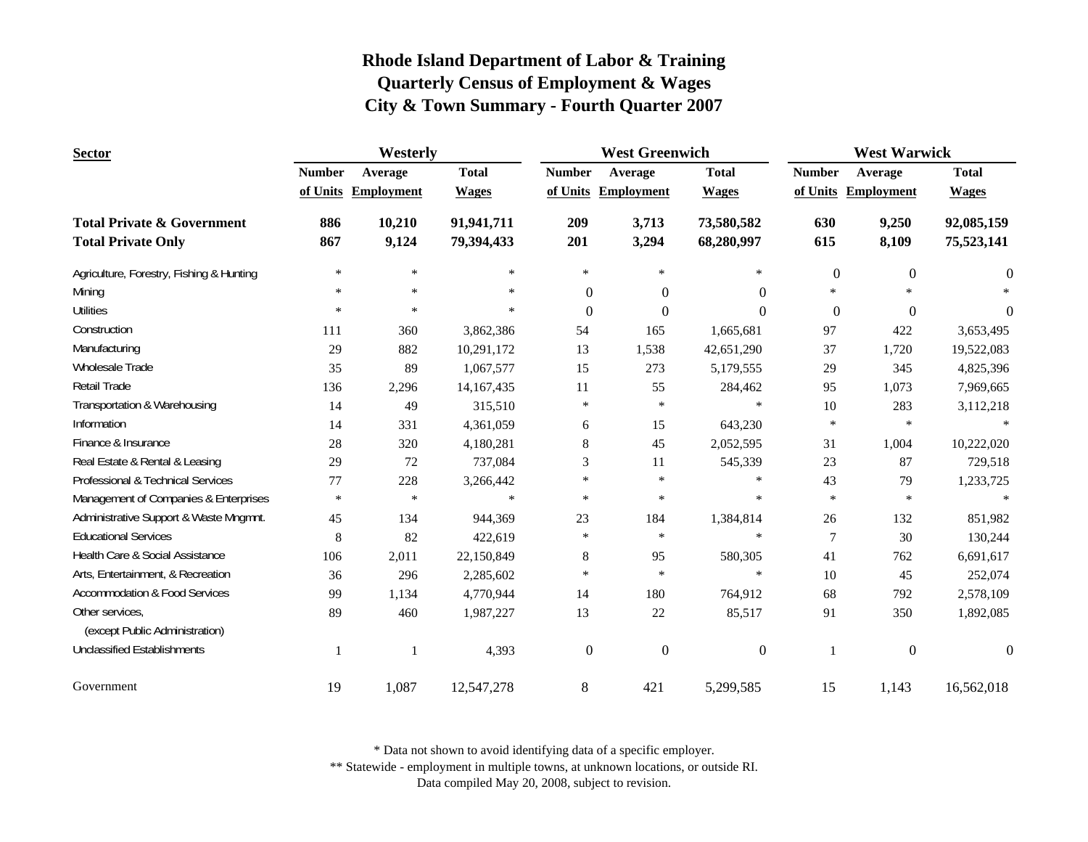| <b>Sector</b>                            | Westerly      |                     |              | <b>West Greenwich</b> |                     |                | <b>West Warwick</b> |                     |              |
|------------------------------------------|---------------|---------------------|--------------|-----------------------|---------------------|----------------|---------------------|---------------------|--------------|
|                                          | <b>Number</b> | Average             | <b>Total</b> | <b>Number</b>         | Average             | <b>Total</b>   | <b>Number</b>       | Average             | <b>Total</b> |
|                                          |               | of Units Employment | <b>Wages</b> |                       | of Units Employment | <b>Wages</b>   |                     | of Units Employment | <b>Wages</b> |
| <b>Total Private &amp; Government</b>    | 886           | 10,210              | 91,941,711   | 209                   | 3,713               | 73,580,582     | 630                 | 9,250               | 92,085,159   |
| <b>Total Private Only</b>                | 867           | 9,124               | 79,394,433   | 201                   | 3,294               | 68,280,997     | 615                 | 8,109               | 75,523,141   |
| Agriculture, Forestry, Fishing & Hunting | $\ast$        | $\ast$              | $\ast$       | $\ast$                | $\ast$              | $\ast$         | $\boldsymbol{0}$    | $\boldsymbol{0}$    | $\theta$     |
| Mining                                   | $\ast$        | $\ast$              | $\ast$       | $\theta$              | $\Omega$            | $\overline{0}$ | $\ast$              |                     |              |
| <b>Utilities</b>                         | $\ast$        | $\ast$              | $\ast$       | $\Omega$              | $\Omega$            | $\Omega$       | $\mathbf{0}$        | $\mathbf{0}$        | $\Omega$     |
| Construction                             | 111           | 360                 | 3,862,386    | 54                    | 165                 | 1,665,681      | 97                  | 422                 | 3,653,495    |
| Manufacturing                            | 29            | 882                 | 10,291,172   | 13                    | 1,538               | 42,651,290     | 37                  | 1,720               | 19,522,083   |
| Wholesale Trade                          | 35            | 89                  | 1,067,577    | 15                    | 273                 | 5,179,555      | 29                  | 345                 | 4,825,396    |
| Retail Trade                             | 136           | 2,296               | 14,167,435   | 11                    | 55                  | 284,462        | 95                  | 1,073               | 7,969,665    |
| Transportation & Warehousing             | 14            | 49                  | 315,510      | ∗                     | $\ast$              | $\ast$         | 10                  | 283                 | 3,112,218    |
| Information                              | 14            | 331                 | 4,361,059    | 6                     | 15                  | 643,230        | $\ast$              | $\ast$              | $\ast$       |
| Finance & Insurance                      | 28            | 320                 | 4,180,281    | 8                     | 45                  | 2,052,595      | 31                  | 1,004               | 10,222,020   |
| Real Estate & Rental & Leasing           | 29            | 72                  | 737,084      | 3                     | 11                  | 545,339        | 23                  | 87                  | 729,518      |
| Professional & Technical Services        | 77            | 228                 | 3,266,442    | $\ast$                | $\ast$              | $\ast$         | 43                  | 79                  | 1,233,725    |
| Management of Companies & Enterprises    | $\ast$        | $\ast$              | $\ast$       | $\ast$                | $\ast$              | $\ast$         | $\ast$              | $\ast$              | $\ast$       |
| Administrative Support & Waste Mngmnt.   | 45            | 134                 | 944,369      | 23                    | 184                 | 1,384,814      | 26                  | 132                 | 851,982      |
| <b>Educational Services</b>              | 8             | 82                  | 422,619      | ∗                     | $\ast$              | $\ast$         | 7                   | 30                  | 130,244      |
| Health Care & Social Assistance          | 106           | 2,011               | 22,150,849   | 8                     | 95                  | 580,305        | 41                  | 762                 | 6,691,617    |
| Arts, Entertainment, & Recreation        | 36            | 296                 | 2,285,602    | $\ast$                | $\ast$              | $\ast$         | 10                  | 45                  | 252,074      |
| <b>Accommodation &amp; Food Services</b> | 99            | 1,134               | 4,770,944    | 14                    | 180                 | 764,912        | 68                  | 792                 | 2,578,109    |
| Other services,                          | 89            | 460                 | 1,987,227    | 13                    | $22\,$              | 85,517         | 91                  | 350                 | 1,892,085    |
| (except Public Administration)           |               |                     |              |                       |                     |                |                     |                     |              |
| <b>Unclassified Establishments</b>       |               |                     | 4,393        | $\overline{0}$        | $\mathbf{0}$        | $\mathbf{0}$   |                     | $\mathbf{0}$        | $\Omega$     |
| Government                               | 19            | 1,087               | 12,547,278   | $8\,$                 | 421                 | 5,299,585      | 15                  | 1,143               | 16,562,018   |

\* Data not shown to avoid identifying data of a specific employer.

\*\* Statewide - employment in multiple towns, at unknown locations, or outside RI.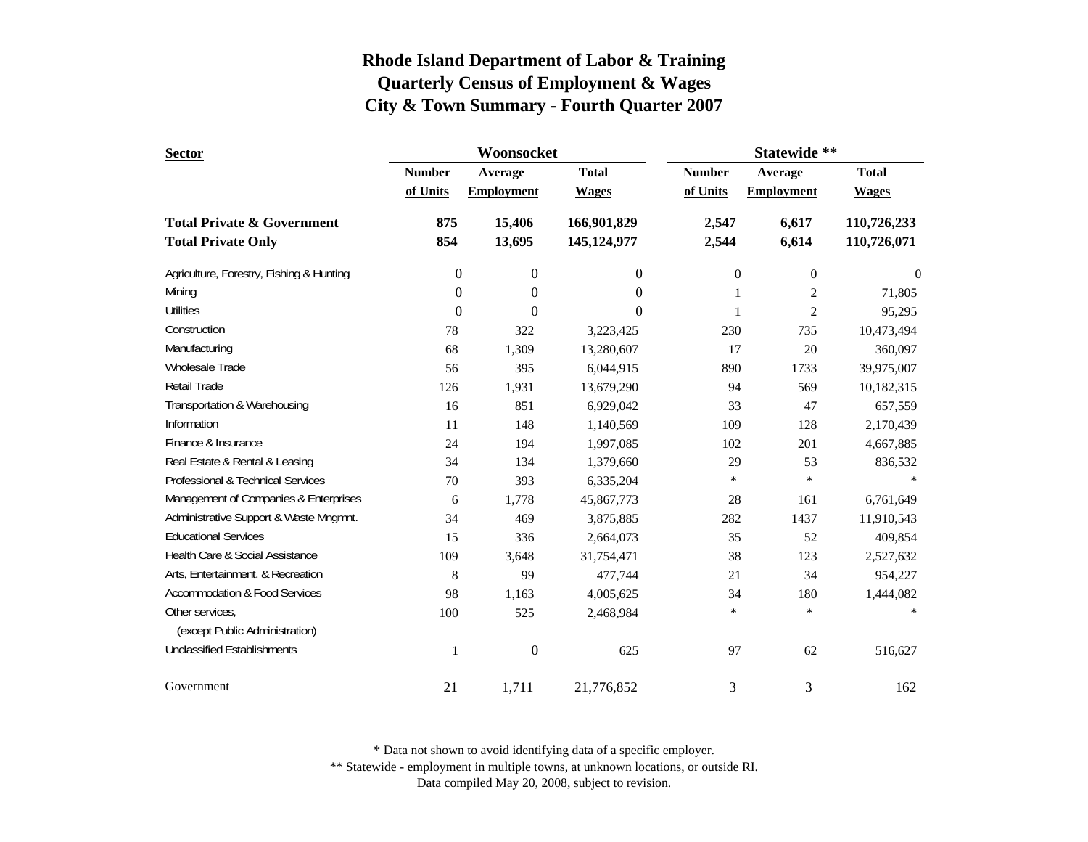| <b>Sector</b>                                                      |               | Woonsocket        |                            | Statewide **     |                   |                                            |  |
|--------------------------------------------------------------------|---------------|-------------------|----------------------------|------------------|-------------------|--------------------------------------------|--|
|                                                                    | <b>Number</b> | Average           | <b>Total</b>               | <b>Number</b>    | Average           | <b>Total</b>                               |  |
|                                                                    | of Units      | <b>Employment</b> | <b>Wages</b>               | of Units         | <b>Employment</b> | <b>Wages</b><br>110,726,233<br>110,726,071 |  |
| <b>Total Private &amp; Government</b><br><b>Total Private Only</b> | 875<br>854    | 15,406<br>13,695  | 166,901,829<br>145,124,977 | 2,547<br>2,544   | 6,617<br>6,614    |                                            |  |
| Agriculture, Forestry, Fishing & Hunting                           | 0             | $\boldsymbol{0}$  | $\boldsymbol{0}$           | $\boldsymbol{0}$ | $\boldsymbol{0}$  | $\boldsymbol{0}$                           |  |
| Mining                                                             | $\theta$      | $\boldsymbol{0}$  | $\overline{0}$             | 1                | $\mathbf{2}$      | 71,805                                     |  |
| <b>Utilities</b>                                                   | $\theta$      | $\overline{0}$    | $\Omega$                   | 1                | $\overline{2}$    | 95,295                                     |  |
| Construction                                                       | 78            | 322               | 3,223,425                  | 230              | 735               | 10,473,494                                 |  |
| Manufacturing                                                      | 68            | 1,309             | 13,280,607                 | 17               | 20                | 360,097                                    |  |
| <b>Wholesale Trade</b>                                             | 56            | 395               | 6,044,915                  | 890              | 1733              | 39,975,007                                 |  |
| Retail Trade                                                       | 126           | 1,931             | 13,679,290                 | 94               | 569               | 10,182,315                                 |  |
| Transportation & Warehousing                                       | 16            | 851               | 6,929,042                  | 33               | 47                | 657,559                                    |  |
| Information                                                        | 11            | 148               | 1,140,569                  | 109              | 128               | 2,170,439                                  |  |
| Finance & Insurance                                                | 24            | 194               | 1,997,085                  | 102              | 201               | 4,667,885                                  |  |
| Real Estate & Rental & Leasing                                     | 34            | 134               | 1,379,660                  | 29               | 53                | 836,532                                    |  |
| Professional & Technical Services                                  | 70            | 393               | 6,335,204                  | $\ast$           | $\ast$            |                                            |  |
| Management of Companies & Enterprises                              | 6             | 1,778             | 45,867,773                 | 28               | 161               | 6,761,649                                  |  |
| Administrative Support & Waste Mngmnt.                             | 34            | 469               | 3,875,885                  | 282              | 1437              | 11,910,543                                 |  |
| <b>Educational Services</b>                                        | 15            | 336               | 2,664,073                  | 35               | 52                | 409,854                                    |  |
| Health Care & Social Assistance                                    | 109           | 3,648             | 31,754,471                 | 38               | 123               | 2,527,632                                  |  |
| Arts, Entertainment, & Recreation                                  | 8             | 99                | 477,744                    | 21               | 34                | 954,227                                    |  |
| <b>Accommodation &amp; Food Services</b>                           | 98            | 1,163             | 4,005,625                  | 34               | 180               | 1,444,082                                  |  |
| Other services,                                                    | 100           | 525               | 2,468,984                  | $\ast$           | $\ast$            |                                            |  |
| (except Public Administration)                                     |               |                   |                            |                  |                   |                                            |  |
| <b>Unclassified Establishments</b>                                 | $\mathbf{1}$  | $\boldsymbol{0}$  | 625                        | 97               | 62                | 516,627                                    |  |
| Government                                                         | 21            | 1,711             | 21,776,852                 | 3                | 3                 | 162                                        |  |

\* Data not shown to avoid identifying data of a specific employer.

\*\* Statewide - employment in multiple towns, at unknown locations, or outside RI.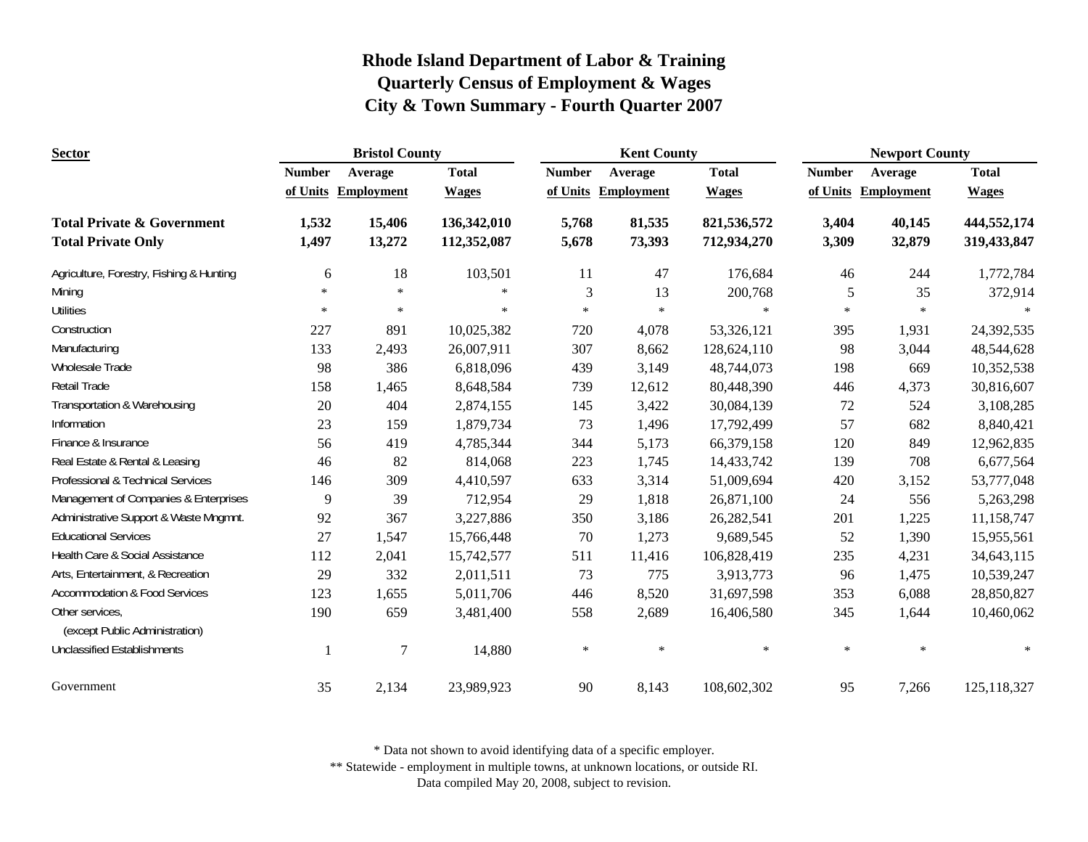| <b>Sector</b>                                                      | <b>Bristol County</b> |                     |                            | <b>Kent County</b> |                     |                            | <b>Newport County</b> |                     |                            |
|--------------------------------------------------------------------|-----------------------|---------------------|----------------------------|--------------------|---------------------|----------------------------|-----------------------|---------------------|----------------------------|
|                                                                    | <b>Number</b>         | Average             | <b>Total</b>               | <b>Number</b>      | Average             | <b>Total</b>               | <b>Number</b>         | Average             | <b>Total</b>               |
|                                                                    |                       | of Units Employment | <b>Wages</b>               |                    | of Units Employment | <b>Wages</b>               |                       | of Units Employment | <b>Wages</b>               |
| <b>Total Private &amp; Government</b><br><b>Total Private Only</b> | 1,532<br>1,497        | 15,406<br>13,272    | 136,342,010<br>112,352,087 | 5,768<br>5,678     | 81,535<br>73,393    | 821,536,572<br>712,934,270 | 3,404<br>3,309        | 40,145<br>32,879    | 444,552,174<br>319,433,847 |
| Agriculture, Forestry, Fishing & Hunting                           | 6                     | 18                  | 103,501                    | 11                 | 47                  | 176,684                    | 46                    | 244                 | 1,772,784                  |
| Mining                                                             | ×                     | $*$                 | $\ast$                     | 3                  | 13                  | 200,768                    | $\mathfrak{S}$        | 35                  | 372,914                    |
| <b>Utilities</b>                                                   | $\ast$                | *                   | $\ast$                     | $\ast$             | $\ast$              | $\ast$                     | $\ast$                | $\ast$              |                            |
| Construction                                                       | 227                   | 891                 | 10,025,382                 | 720                | 4,078               | 53,326,121                 | 395                   | 1,931               | 24,392,535                 |
| Manufacturing                                                      | 133                   | 2,493               | 26,007,911                 | 307                | 8,662               | 128,624,110                | 98                    | 3,044               | 48,544,628                 |
| Wholesale Trade                                                    | 98                    | 386                 | 6,818,096                  | 439                | 3,149               | 48,744,073                 | 198                   | 669                 | 10,352,538                 |
| <b>Retail Trade</b>                                                | 158                   | 1,465               | 8,648,584                  | 739                | 12,612              | 80,448,390                 | 446                   | 4,373               | 30,816,607                 |
| Transportation & Warehousing                                       | 20                    | 404                 | 2,874,155                  | 145                | 3,422               | 30,084,139                 | 72                    | 524                 | 3,108,285                  |
| Information                                                        | 23                    | 159                 | 1,879,734                  | 73                 | 1,496               | 17,792,499                 | 57                    | 682                 | 8,840,421                  |
| Finance & Insurance                                                | 56                    | 419                 | 4,785,344                  | 344                | 5,173               | 66,379,158                 | 120                   | 849                 | 12,962,835                 |
| Real Estate & Rental & Leasing                                     | 46                    | 82                  | 814,068                    | 223                | 1,745               | 14,433,742                 | 139                   | 708                 | 6,677,564                  |
| Professional & Technical Services                                  | 146                   | 309                 | 4,410,597                  | 633                | 3,314               | 51,009,694                 | 420                   | 3,152               | 53,777,048                 |
| Management of Companies & Enterprises                              | 9                     | 39                  | 712,954                    | 29                 | 1,818               | 26,871,100                 | 24                    | 556                 | 5,263,298                  |
| Administrative Support & Waste Mngmnt.                             | 92                    | 367                 | 3,227,886                  | 350                | 3,186               | 26,282,541                 | 201                   | 1,225               | 11,158,747                 |
| <b>Educational Services</b>                                        | 27                    | 1,547               | 15,766,448                 | 70                 | 1,273               | 9,689,545                  | 52                    | 1,390               | 15,955,561                 |
| Health Care & Social Assistance                                    | 112                   | 2,041               | 15,742,577                 | 511                | 11,416              | 106,828,419                | 235                   | 4,231               | 34,643,115                 |
| Arts, Entertainment, & Recreation                                  | 29                    | 332                 | 2,011,511                  | 73                 | 775                 | 3,913,773                  | 96                    | 1,475               | 10,539,247                 |
| <b>Accommodation &amp; Food Services</b>                           | 123                   | 1,655               | 5,011,706                  | 446                | 8,520               | 31,697,598                 | 353                   | 6,088               | 28,850,827                 |
| Other services,<br>(except Public Administration)                  | 190                   | 659                 | 3,481,400                  | 558                | 2,689               | 16,406,580                 | 345                   | 1,644               | 10,460,062                 |
| <b>Unclassified Establishments</b>                                 |                       | $\overline{7}$      | 14,880                     | $\ast$             | $\ast$              | $\ast$                     | $\ast$                | $\ast$              |                            |
| Government                                                         | 35                    | 2,134               | 23,989,923                 | 90                 | 8,143               | 108,602,302                | 95                    | 7,266               | 125,118,327                |

\* Data not shown to avoid identifying data of a specific employer.

\*\* Statewide - employment in multiple towns, at unknown locations, or outside RI.